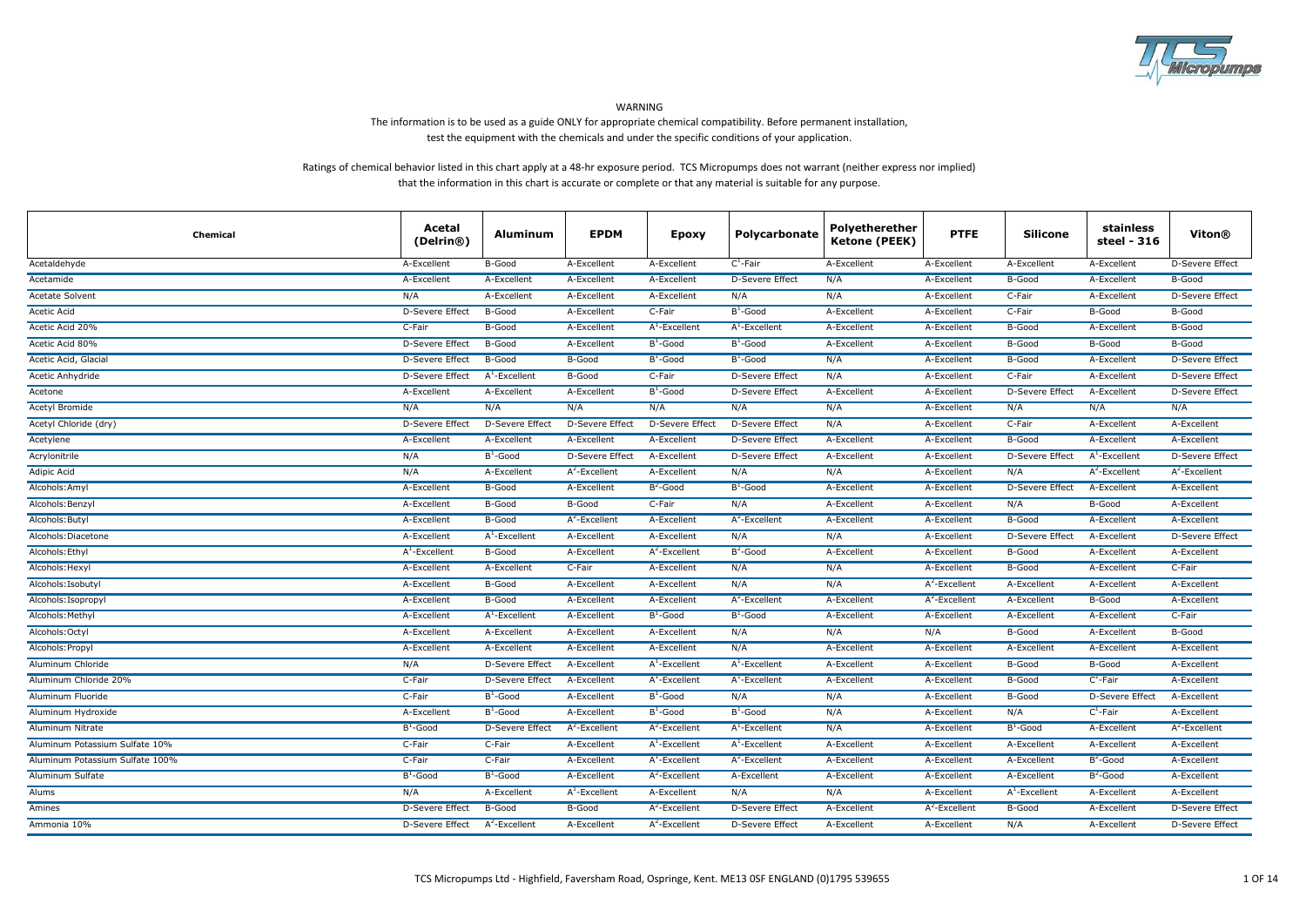

WARNING

# The information is to be used as a guide ONLY for appropriate chemical compatibility. Before permanent installation, test the equipment with the chemicals and under the specific conditions of your application.

# Ratings of chemical behavior listed in this chart apply at a 48-hr exposure period. TCS Micropumps does not warrant (neither express nor implied) that the information in this chart is accurate or complete or that any material is suitable for any purpose.

| Chemical                        | Acetal<br>(Delrin®)    | <b>Aluminum</b>        | <b>EPDM</b>            | <b>Epoxy</b>     | Polycarbonate          | Polyetherether<br><b>Ketone (PEEK)</b> | <b>PTFE</b>      | <b>Silicone</b>        | stainless<br>steel - 316 | Viton®                 |
|---------------------------------|------------------------|------------------------|------------------------|------------------|------------------------|----------------------------------------|------------------|------------------------|--------------------------|------------------------|
| Acetaldehyde                    | A-Excellent            | B-Good                 | A-Excellent            | A-Excellent      | $C^1$ -Fair            | A-Excellent                            | A-Excellent      | A-Excellent            | A-Excellent              | D-Severe Effect        |
| Acetamide                       | A-Excellent            | A-Excellent            | A-Excellent            | A-Excellent      | D-Severe Effect        | N/A                                    | A-Excellent      | B-Good                 | A-Excellent              | B-Good                 |
| Acetate Solvent                 | N/A                    | A-Excellent            | A-Excellent            | A-Excellent      | N/A                    | N/A                                    | A-Excellent      | C-Fair                 | A-Excellent              | D-Severe Effect        |
| Acetic Acid                     | <b>D-Severe Effect</b> | B-Good                 | A-Excellent            | C-Fair           | $B^1$ -Good            | A-Excellent                            | A-Excellent      | C-Fair                 | B-Good                   | B-Good                 |
| Acetic Acid 20%                 | C-Fair                 | B-Good                 | A-Excellent            | $A^1$ -Excellent | $A^1$ -Excellent       | A-Excellent                            | A-Excellent      | B-Good                 | A-Excellent              | B-Good                 |
| Acetic Acid 80%                 | <b>D-Severe Effect</b> | B-Good                 | A-Excellent            | $B^1$ -Good      | $B^1$ -Good            | A-Excellent                            | A-Excellent      | B-Good                 | B-Good                   | <b>B-Good</b>          |
| Acetic Acid, Glacial            | <b>D-Severe Effect</b> | B-Good                 | <b>B-Good</b>          | $B^1$ -Good      | $B^1$ -Good            | N/A                                    | A-Excellent      | B-Good                 | A-Excellent              | <b>D-Severe Effect</b> |
| Acetic Anhydride                | D-Severe Effect        | $A1$ -Excellent        | B-Good                 | C-Fair           | D-Severe Effect        | N/A                                    | A-Excellent      | C-Fair                 | A-Excellent              | D-Severe Effect        |
| Acetone                         | A-Excellent            | A-Excellent            | A-Excellent            | $B^1$ -Good      | <b>D-Severe Effect</b> | A-Excellent                            | A-Excellent      | <b>D-Severe Effect</b> | A-Excellent              | D-Severe Effect        |
| Acetyl Bromide                  | N/A                    | N/A                    | N/A                    | N/A              | N/A                    | N/A                                    | A-Excellent      | N/A                    | N/A                      | N/A                    |
| Acetyl Chloride (dry)           | D-Severe Effect        | D-Severe Effect        | D-Severe Effect        | D-Severe Effect  | D-Severe Effect        | N/A                                    | A-Excellent      | C-Fair                 | A-Excellent              | A-Excellent            |
| Acetylene                       | A-Excellent            | A-Excellent            | A-Excellent            | A-Excellent      | <b>D-Severe Effect</b> | A-Excellent                            | A-Excellent      | <b>B-Good</b>          | A-Excellent              | A-Excellent            |
| Acrylonitrile                   | N/A                    | $B^1$ -Good            | <b>D-Severe Effect</b> | A-Excellent      | D-Severe Effect        | A-Excellent                            | A-Excellent      | <b>D-Severe Effect</b> | $A^1$ -Excellent         | <b>D-Severe Effect</b> |
| Adipic Acid                     | N/A                    | A-Excellent            | $A^2$ -Excellent       | A-Excellent      | N/A                    | N/A                                    | A-Excellent      | N/A                    | $A^2$ -Excellent         | $A^2$ -Excellent       |
| Alcohols: Amyl                  | A-Excellent            | B-Good                 | A-Excellent            | $B^2$ -Good      | $B^1$ -Good            | A-Excellent                            | A-Excellent      | D-Severe Effect        | A-Excellent              | A-Excellent            |
| Alcohols: Benzyl                | A-Excellent            | B-Good                 | B-Good                 | C-Fair           | N/A                    | A-Excellent                            | A-Excellent      | N/A                    | B-Good                   | A-Excellent            |
| Alcohols: Butyl                 | A-Excellent            | B-Good                 | $A^2$ -Excellent       | A-Excellent      | $A^2$ -Excellent       | A-Excellent                            | A-Excellent      | B-Good                 | A-Excellent              | A-Excellent            |
| Alcohols: Diacetone             | A-Excellent            | $A^1$ -Excellent       | A-Excellent            | A-Excellent      | N/A                    | N/A                                    | A-Excellent      | D-Severe Effect        | A-Excellent              | D-Severe Effect        |
| Alcohols: Ethyl                 | $A^1$ -Excellent       | B-Good                 | A-Excellent            | $A^2$ -Excellent | $B^2$ -Good            | A-Excellent                            | A-Excellent      | B-Good                 | A-Excellent              | A-Excellent            |
| Alcohols: Hexyl                 | A-Excellent            | A-Excellent            | C-Fair                 | A-Excellent      | N/A                    | N/A                                    | A-Excellent      | B-Good                 | A-Excellent              | C-Fair                 |
| Alcohols: Isobutyl              | A-Excellent            | B-Good                 | A-Excellent            | A-Excellent      | N/A                    | N/A                                    | $A^2$ -Excellent | A-Excellent            | A-Excellent              | A-Excellent            |
| Alcohols: Isopropyl             | A-Excellent            | B-Good                 | A-Excellent            | A-Excellent      | $A^2$ -Excellent       | A-Excellent                            | $A^2$ -Excellent | A-Excellent            | B-Good                   | A-Excellent            |
| Alcohols: Methyl                | A-Excellent            | $A^1$ -Excellent       | A-Excellent            | $B^1$ -Good      | $B^1$ -Good            | A-Excellent                            | A-Excellent      | A-Excellent            | A-Excellent              | C-Fair                 |
| Alcohols: Octyl                 | A-Excellent            | A-Excellent            | A-Excellent            | A-Excellent      | N/A                    | N/A                                    | N/A              | B-Good                 | A-Excellent              | <b>B-Good</b>          |
| Alcohols: Propyl                | A-Excellent            | A-Excellent            | A-Excellent            | A-Excellent      | N/A                    | A-Excellent                            | A-Excellent      | A-Excellent            | A-Excellent              | A-Excellent            |
| Aluminum Chloride               | N/A                    | D-Severe Effect        | A-Excellent            | $A^1$ -Excellent | $A^1$ -Excellent       | A-Excellent                            | A-Excellent      | B-Good                 | B-Good                   | A-Excellent            |
| Aluminum Chloride 20%           | C-Fair                 | <b>D-Severe Effect</b> | A-Excellent            | $A^1$ -Excellent | $A^1$ -Excellent       | A-Excellent                            | A-Excellent      | B-Good                 | $C^1$ -Fair              | A-Excellent            |
| Aluminum Fluoride               | C-Fair                 | $B^1$ -Good            | A-Excellent            | $B^1$ -Good      | N/A                    | N/A                                    | A-Excellent      | B-Good                 | D-Severe Effect          | A-Excellent            |
| Aluminum Hydroxide              | A-Excellent            | $B^1$ -Good            | A-Excellent            | $B^1$ -Good      | $B^1$ -Good            | N/A                                    | A-Excellent      | N/A                    | $C^1$ -Fair              | A-Excellent            |
| Aluminum Nitrate                | $B^1$ -Good            | <b>D-Severe Effect</b> | $A^2$ -Excellent       | $A^2$ -Excellent | $A^1$ -Excellent       | N/A                                    | A-Excellent      | $B^1$ -Good            | A-Excellent              | $A^2$ -Excellent       |
| Aluminum Potassium Sulfate 10%  | C-Fair                 | C-Fair                 | A-Excellent            | $A^1$ -Excellent | $A^1$ -Excellent       | A-Excellent                            | A-Excellent      | A-Excellent            | A-Excellent              | A-Excellent            |
| Aluminum Potassium Sulfate 100% | C-Fair                 | C-Fair                 | A-Excellent            | $A^1$ -Excellent | $A^2$ -Excellent       | A-Excellent                            | A-Excellent      | A-Excellent            | $B2$ -Good               | A-Excellent            |
| Aluminum Sulfate                | $B^1$ -Good            | $B^1$ -Good            | A-Excellent            | $A^2$ -Excellent | A-Excellent            | A-Excellent                            | A-Excellent      | A-Excellent            | $B^2$ -Good              | A-Excellent            |
| Alums                           | N/A                    | A-Excellent            | $A^1$ -Excellent       | A-Excellent      | N/A                    | N/A                                    | A-Excellent      | $A^1$ -Excellent       | A-Excellent              | A-Excellent            |
| Amines                          | D-Severe Effect        | B-Good                 | B-Good                 | $A^2$ -Excellent | D-Severe Effect        | A-Excellent                            | $A^2$ -Excellent | B-Good                 | A-Excellent              | D-Severe Effect        |
| Ammonia 10%                     | D-Severe Effect        | $A^2$ -Excellent       | A-Excellent            | $A^2$ -Excellent | <b>D-Severe Effect</b> | A-Excellent                            | A-Excellent      | N/A                    | A-Excellent              | <b>D-Severe Effect</b> |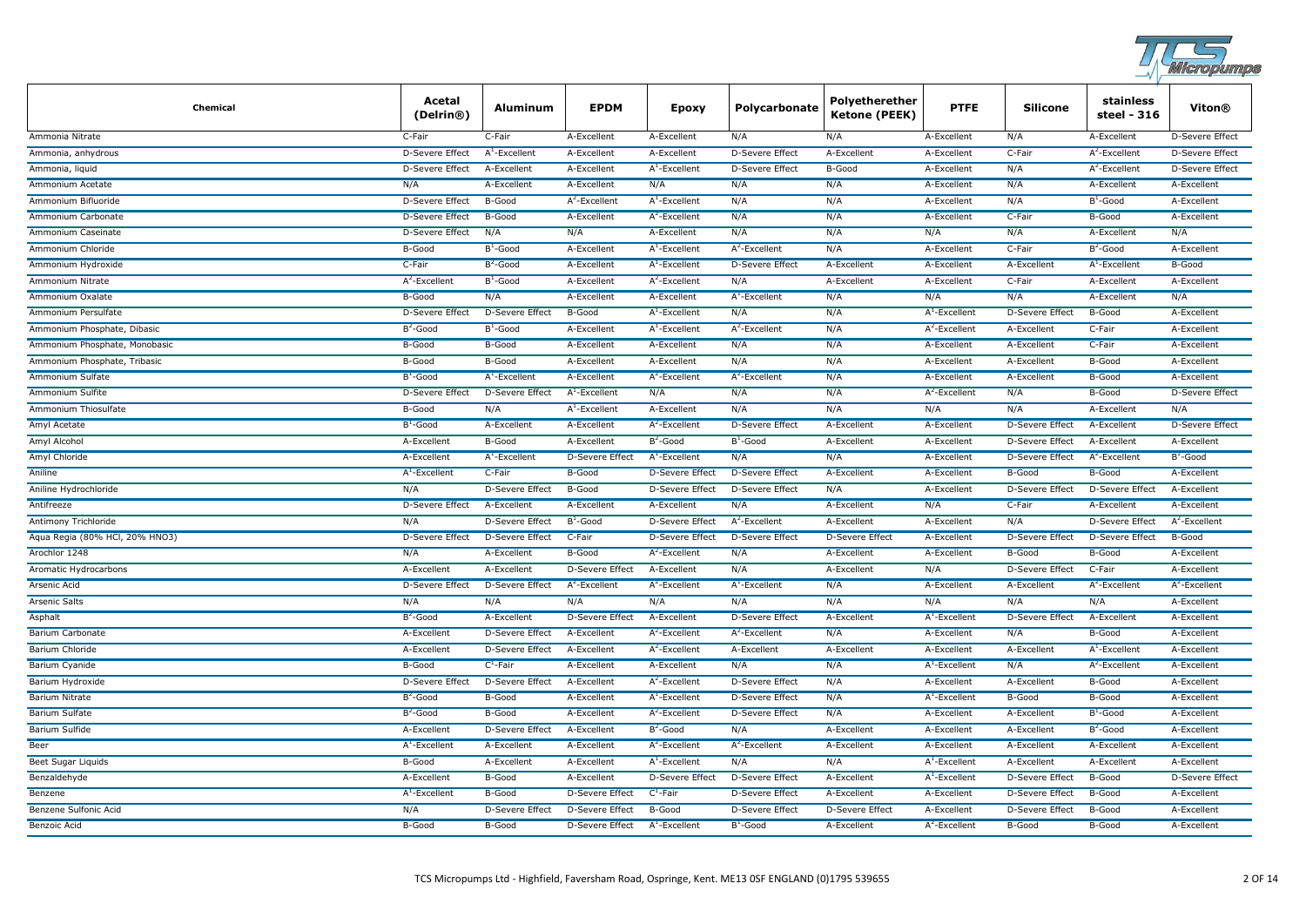

| <b>Chemical</b>                | Acetal<br>(Delrin®)    | <b>Aluminum</b>        | <b>EPDM</b>            | Epoxy                  | Polycarbonate          | Polyetherether<br><b>Ketone (PEEK)</b> | <b>PTFE</b>            | <b>Silicone</b>        | stainless<br>steel - 316 | Viton®                 |
|--------------------------------|------------------------|------------------------|------------------------|------------------------|------------------------|----------------------------------------|------------------------|------------------------|--------------------------|------------------------|
| Ammonia Nitrate                | C-Fair                 | C-Fair                 | A-Excellent            | A-Excellent            | N/A                    | N/A                                    | A-Excellent            | N/A                    | A-Excellent              | D-Severe Effect        |
| Ammonia, anhydrous             | D-Severe Effect        | $A^1$ -Excellent       | A-Excellent            | A-Excellent            | <b>D-Severe Effect</b> | A-Excellent                            | A-Excellent            | C-Fair                 | $A^2$ -Excellent         | D-Severe Effect        |
| Ammonia, liquid                | D-Severe Effect        | A-Excellent            | A-Excellent            | $A^1$ -Excellent       | D-Severe Effect        | B-Good                                 | A-Excellent            | N/A                    | $A^2$ -Excellent         | <b>D-Severe Effect</b> |
| Ammonium Acetate               | N/A                    | A-Excellent            | A-Excellent            | N/A                    | N/A                    | N/A                                    | A-Excellent            | N/A                    | A-Excellent              | A-Excellent            |
| Ammonium Bifluoride            | D-Severe Effect        | B-Good                 | $A^2$ -Excellent       | $A^1$ -Excellent       | N/A                    | N/A                                    | A-Excellent            | N/A                    | $B^1$ -Good              | A-Excellent            |
| Ammonium Carbonate             | <b>D-Severe Effect</b> | B-Good                 | A-Excellent            | $A^2$ -Excellent       | N/A                    | N/A                                    | A-Excellent            | C-Fair                 | B-Good                   | A-Excellent            |
| Ammonium Caseinate             | D-Severe Effect        | N/A                    | N/A                    | A-Excellent            | N/A                    | N/A                                    | N/A                    | N/A                    | A-Excellent              | N/A                    |
| Ammonium Chloride              | B-Good                 | $B^1$ -Good            | A-Excellent            | $A^1$ -Excellent       | $A^2$ -Excellent       | N/A                                    | A-Excellent            | C-Fair                 | $B^2$ -Good              | A-Excellent            |
| Ammonium Hydroxide             | C-Fair                 | $B^2$ -Good            | A-Excellent            | $A^1$ -Excellent       | <b>D-Severe Effect</b> | A-Excellent                            | A-Excellent            | A-Excellent            | $A^1$ -Excellent         | B-Good                 |
| Ammonium Nitrate               | $A^2$ -Excellent       | $B^1$ -Good            | A-Excellent            | $A^2$ -Excellent       | N/A                    | A-Excellent                            | A-Excellent            | C-Fair                 | A-Excellent              | A-Excellent            |
| Ammonium Oxalate               | B-Good                 | N/A                    | A-Excellent            | A-Excellent            | $A^1$ -Excellent       | N/A                                    | N/A                    | N/A                    | A-Excellent              | N/A                    |
| Ammonium Persulfate            | D-Severe Effect        | <b>D-Severe Effect</b> | B-Good                 | $A^1$ -Excellent       | N/A                    | N/A                                    | $A^1$ -Excellent       | <b>D-Severe Effect</b> | B-Good                   | A-Excellent            |
| Ammonium Phosphate, Dibasic    | $B^2$ -Good            | $B^1$ -Good            | A-Excellent            | $A^1$ -Excellent       | $A^2$ -Excellent       | N/A                                    | $A^2$ -Excellent       | A-Excellent            | C-Fair                   | A-Excellent            |
| Ammonium Phosphate, Monobasic  | B-Good                 | B-Good                 | A-Excellent            | A-Excellent            | N/A                    | N/A                                    | A-Excellent            | A-Excellent            | C-Fair                   | A-Excellent            |
| Ammonium Phosphate, Tribasic   | B-Good                 | B-Good                 | A-Excellent            | A-Excellent            | N/A                    | N/A                                    | A-Excellent            | A-Excellent            | B-Good                   | A-Excellent            |
| Ammonium Sulfate               | $B^1$ -Good            | $A^1$ -Excellent       | A-Excellent            | $A^2$ -Excellent       | $A^2$ -Excellent       | N/A                                    | A-Excellent            | A-Excellent            | B-Good                   | A-Excellent            |
| Ammonium Sulfite               | D-Severe Effect        | <b>D-Severe Effect</b> | $A1$ -Excellent        | N/A                    | N/A                    | N/A                                    | $A^2$ -Excellent       | N/A                    | <b>B-Good</b>            | D-Severe Effect        |
| Ammonium Thiosulfate           | B-Good                 | N/A                    | $A^1$ -Excellent       | A-Excellent            | N/A                    | N/A                                    | N/A                    | N/A                    | A-Excellent              | N/A                    |
| Amyl Acetate                   | $B^1$ -Good            | A-Excellent            | A-Excellent            | $A^2$ -Excellent       | <b>D-Severe Effect</b> | A-Excellent                            | A-Excellent            | <b>D-Severe Effect</b> | A-Excellent              | <b>D-Severe Effect</b> |
| Amyl Alcohol                   | A-Excellent            | B-Good                 | A-Excellent            | $B^2$ -Good            | $B^1$ -Good            | A-Excellent                            | A-Excellent            | <b>D-Severe Effect</b> | A-Excellent              | A-Excellent            |
| Amyl Chloride                  | A-Excellent            | $A^1$ -Excellent       | D-Severe Effect        | $A^1$ -Excellent       | N/A                    | N/A                                    | A-Excellent            | D-Severe Effect        | $A^2$ -Excellent         | $B^1$ -Good            |
| Aniline                        | $A^1$ -Excellent       | C-Fair                 | B-Good                 | <b>D-Severe Effect</b> | <b>D-Severe Effect</b> | A-Excellent                            | A-Excellent            | B-Good                 | B-Good                   | A-Excellent            |
| Aniline Hydrochloride          | N/A                    | <b>D-Severe Effect</b> | B-Good                 | D-Severe Effect        | <b>D-Severe Effect</b> | N/A                                    | A-Excellent            | <b>D-Severe Effect</b> | <b>D-Severe Effect</b>   | A-Excellent            |
| Antifreeze                     | D-Severe Effect        | A-Excellent            | A-Excellent            | A-Excellent            | N/A                    | A-Excellent                            | N/A                    | C-Fair                 | A-Excellent              | A-Excellent            |
| Antimony Trichloride           | N/A                    | D-Severe Effect        | $B^1$ -Good            | D-Severe Effect        | $A^2$ -Excellent       | A-Excellent                            | A-Excellent            | N/A                    | D-Severe Effect          | $A^2$ -Excellent       |
| Aqua Regia (80% HCl, 20% HNO3) | <b>D-Severe Effect</b> | D-Severe Effect        | C-Fair                 | D-Severe Effect        | <b>D-Severe Effect</b> | <b>D-Severe Effect</b>                 | A-Excellent            | <b>D-Severe Effect</b> | D-Severe Effect          | B-Good                 |
| Arochlor 1248                  | N/A                    | A-Excellent            | B-Good                 | $A^2$ -Excellent       | N/A                    | A-Excellent                            | A-Excellent            | B-Good                 | B-Good                   | A-Excellent            |
| Aromatic Hydrocarbons          | A-Excellent            | A-Excellent            | D-Severe Effect        | A-Excellent            | N/A                    | A-Excellent                            | N/A                    | <b>D-Severe Effect</b> | C-Fair                   | A-Excellent            |
| Arsenic Acid                   | D-Severe Effect        | D-Severe Effect        | $A^2$ -Excellent       | $A^2$ -Excellent       | $A^1$ -Excellent       | N/A                                    | A-Excellent            | A-Excellent            | $A^2$ -Excellent         | $A^2$ -Excellent       |
| <b>Arsenic Salts</b>           | N/A                    | N/A                    | N/A                    | N/A                    | N/A                    | N/A                                    | N/A                    | N/A                    | N/A                      | A-Excellent            |
| Asphalt                        | $B^2$ -Good            | A-Excellent            | D-Severe Effect        | A-Excellent            | <b>D-Severe Effect</b> | A-Excellent                            | $A^1$ -Excellent       | <b>D-Severe Effect</b> | A-Excellent              | A-Excellent            |
| Barium Carbonate               | A-Excellent            | D-Severe Effect        | A-Excellent            | $A^2$ -Excellent       | $A^2$ -Excellent       | N/A                                    | A-Excellent            | N/A                    | B-Good                   | A-Excellent            |
| <b>Barium Chloride</b>         | A-Excellent            | <b>D-Severe Effect</b> | A-Excellent            | $A^2$ -Excellent       | A-Excellent            | A-Excellent                            | A-Excellent            | A-Excellent            | $A^1$ -Excellent         | A-Excellent            |
| <b>Barium Cyanide</b>          | B-Good                 | $C^1$ -Fair            | A-Excellent            | A-Excellent            | N/A                    | N/A                                    | $A^1$ -Excellent       | N/A                    | $A^2$ -Excellent         | A-Excellent            |
| Barium Hydroxide               | <b>D-Severe Effect</b> | <b>D-Severe Effect</b> | A-Excellent            | $A^2$ -Excellent       | <b>D-Severe Effect</b> | N/A                                    | A-Excellent            | A-Excellent            | B-Good                   | A-Excellent            |
| <b>Barium Nitrate</b>          | $B^2$ -Good            | B-Good                 | A-Excellent            | $A^1$ -Excellent       | <b>D-Severe Effect</b> | N/A                                    | $A^1$ -Excellent       | B-Good                 | B-Good                   | A-Excellent            |
| Barium Sulfate                 | $B^2$ -Good            | B-Good                 | A-Excellent            | $A^2$ -Excellent       | D-Severe Effect        | N/A                                    | A-Excellent            | A-Excellent            | $B^1$ -Good              | A-Excellent            |
| Barium Sulfide                 | A-Excellent            | D-Severe Effect        | A-Excellent            | $B^2$ -Good            | N/A                    | A-Excellent                            | A-Excellent            | A-Excellent            | $B^2$ -Good              | A-Excellent            |
| Beer                           | $A^1$ -Excellent       | A-Excellent            | A-Excellent            | $A^2$ -Excellent       | $A^2$ -Excellent       | A-Excellent                            | A-Excellent            | A-Excellent            | A-Excellent              | A-Excellent            |
| Beet Sugar Liquids             | B-Good                 | A-Excellent            | A-Excellent            | $A^1$ -Excellent       | N/A                    | N/A                                    | $A^{\perp}$ -Excellent | A-Excellent            | A-Excellent              | A-Excellent            |
| Benzaldehyde                   | A-Excellent            | B-Good                 | A-Excellent            | <b>D-Severe Effect</b> | <b>D-Severe Effect</b> | A-Excellent                            | $A^1$ -Excellent       | D-Severe Effect        | B-Good                   | <b>D-Severe Effect</b> |
| Benzene                        | $A^1$ -Excellent       | B-Good                 | D-Severe Effect        | $C^1$ -Fair            | <b>D-Severe Effect</b> | A-Excellent                            | A-Excellent            | <b>D-Severe Effect</b> | B-Good                   | A-Excellent            |
| Benzene Sulfonic Acid          | N/A                    | D-Severe Effect        | D-Severe Effect        | B-Good                 | D-Severe Effect        | D-Severe Effect                        | A-Excellent            | D-Severe Effect        | B-Good                   | A-Excellent            |
| Benzoic Acid                   | B-Good                 | B-Good                 | <b>D-Severe Effect</b> | $A^1$ -Excellent       | $B^1$ -Good            | A-Excellent                            | $A^2$ -Excellent       | <b>B-Good</b>          | B-Good                   | A-Excellent            |
|                                |                        |                        |                        |                        |                        |                                        |                        |                        |                          |                        |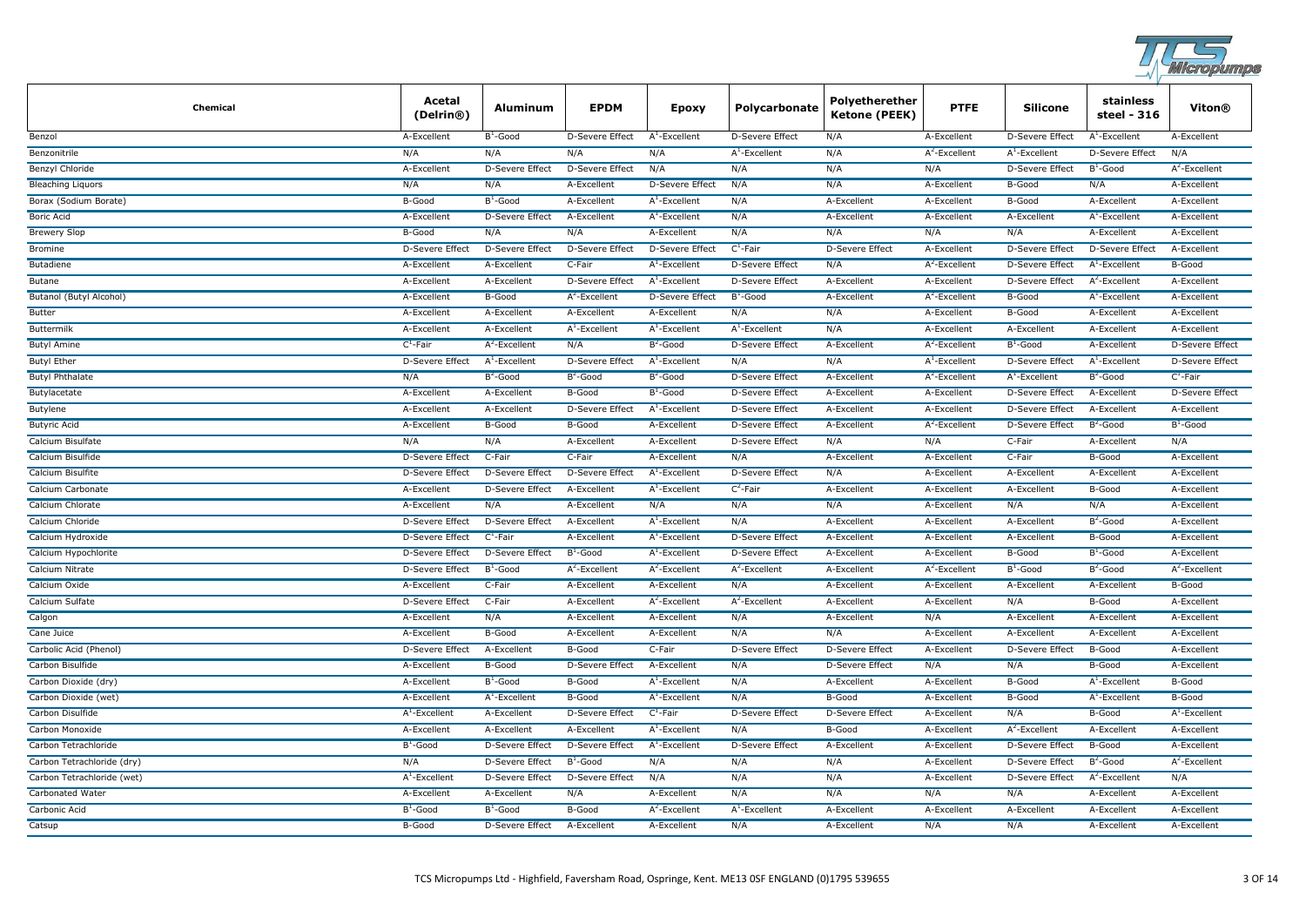

| Chemical                   | Acetal<br>(Delrin <sup>®</sup> ) | <b>Aluminum</b>        | <b>EPDM</b>            | <b>Epoxy</b>              | Polycarbonate          | Polyetherether<br>Ketone (PEEK) | <b>PTFE</b>      | <b>Silicone</b>        | stainless<br>steel - 316 | Viton®                 |
|----------------------------|----------------------------------|------------------------|------------------------|---------------------------|------------------------|---------------------------------|------------------|------------------------|--------------------------|------------------------|
| Benzol                     | A-Excellent                      | $B^1$ -Good            | D-Severe Effect        | $A^1$ -Excellent          | D-Severe Effect        | N/A                             | A-Excellent      | D-Severe Effect        | $A^1$ -Excellent         | A-Excellent            |
| Benzonitrile               | N/A                              | N/A                    | N/A                    | N/A                       | $A^1$ -Excellent       | N/A                             | $A^2$ -Excellent | $A^1$ -Excellent       | <b>D-Severe Effect</b>   | N/A                    |
| Benzyl Chloride            | A-Excellent                      | <b>D-Severe Effect</b> | D-Severe Effect        | N/A                       | N/A                    | N/A                             | N/A              | D-Severe Effect        | $B^1$ -Good              | $A^2$ -Excellent       |
| <b>Bleaching Liguors</b>   | N/A                              | N/A                    | A-Excellent            | <b>D-Severe Effect</b>    | N/A                    | N/A                             | A-Excellent      | B-Good                 | N/A                      | A-Excellent            |
| Borax (Sodium Borate)      | B-Good                           | $B^1$ -Good            | A-Excellent            | $A^1$ -Excellent          | N/A                    | A-Excellent                     | A-Excellent      | B-Good                 | A-Excellent              | A-Excellent            |
| <b>Boric Acid</b>          | A-Excellent                      | D-Severe Effect        | A-Excellent            | $A^1$ -Excellent          | N/A                    | A-Excellent                     | A-Excellent      | A-Excellent            | $A^1$ -Excellent         | A-Excellent            |
| <b>Brewery Slop</b>        | B-Good                           | N/A                    | N/A                    | A-Excellent               | N/A                    | N/A                             | N/A              | N/A                    | A-Excellent              | A-Excellent            |
| <b>Bromine</b>             | <b>D-Severe Effect</b>           | <b>D-Severe Effect</b> | <b>D-Severe Effect</b> | <b>D-Severe Effect</b>    | $C^1$ -Fair            | <b>D-Severe Effect</b>          | A-Excellent      | <b>D-Severe Effect</b> | <b>D-Severe Effect</b>   | A-Excellent            |
| Butadiene                  | A-Excellent                      | A-Excellent            | C-Fair                 | $A^1$ -Excellent          | D-Severe Effect        | N/A                             | $A^2$ -Excellent | D-Severe Effect        | $A^1$ -Excellent         | B-Good                 |
| Butane                     | A-Excellent                      | A-Excellent            | D-Severe Effect        | $A^1$ -Excellent          | D-Severe Effect        | A-Excellent                     | A-Excellent      | <b>D-Severe Effect</b> | $A^2$ -Excellent         | A-Excellent            |
| Butanol (Butyl Alcohol)    | A-Excellent                      | B-Good                 | $A^2$ -Excellent       | D-Severe Effect           | $B^1$ -Good            | A-Excellent                     | $A^2$ -Excellent | B-Good                 | $A^1$ -Excellent         | A-Excellent            |
| Butter                     | A-Excellent                      | A-Excellent            | A-Excellent            | A-Excellent               | N/A                    | N/A                             | A-Excellent      | B-Good                 | A-Excellent              | A-Excellent            |
| Buttermilk                 | A-Excellent                      | A-Excellent            | $A^1$ -Excellent       | $A^1$ -Excellent          | $A^1$ -Excellent       | N/A                             | A-Excellent      | A-Excellent            | A-Excellent              | A-Excellent            |
| <b>Butyl Amine</b>         | $C^1$ -Fair                      | $A^2$ -Excellent       | N/A                    | $B^2$ -Good               | D-Severe Effect        | A-Excellent                     | $A^2$ -Excellent | $B^1$ -Good            | A-Excellent              | <b>D-Severe Effect</b> |
| <b>Butyl Ether</b>         | <b>D-Severe Effect</b>           | $A^1$ -Excellent       | <b>D-Severe Effect</b> | $A^1$ -Excellent          | N/A                    | N/A                             | $A^1$ -Excellent | <b>D-Severe Effect</b> | $A^1$ -Excellent         | <b>D-Severe Effect</b> |
| <b>Butyl Phthalate</b>     | N/A                              | $B^2$ -Good            | $B^2$ -Good            | $B^2$ -Good               | D-Severe Effect        | A-Excellent                     | $A^2$ -Excellent | $A^1$ -Excellent       | $B^2$ -Good              | $C^1$ -Fair            |
| Butylacetate               | A-Excellent                      | A-Excellent            | B-Good                 | $B^1$ -Good               | <b>D-Severe Effect</b> | A-Excellent                     | A-Excellent      | D-Severe Effect        | A-Excellent              | <b>D-Severe Effect</b> |
| <b>Butylene</b>            | A-Excellent                      | A-Excellent            | D-Severe Effect        | $A^1$ -Excellent          | D-Severe Effect        | A-Excellent                     | A-Excellent      | D-Severe Effect        | A-Excellent              | A-Excellent            |
| <b>Butyric Acid</b>        | A-Excellent                      | B-Good                 | B-Good                 | A-Excellent               | D-Severe Effect        | A-Excellent                     | $A^2$ -Excellent | <b>D-Severe Effect</b> | $B^2$ -Good              | $B^1$ -Good            |
| Calcium Bisulfate          | N/A                              | N/A                    | A-Excellent            | A-Excellent               | <b>D-Severe Effect</b> | N/A                             | N/A              | C-Fair                 | A-Excellent              | N/A                    |
| Calcium Bisulfide          | <b>D-Severe Effect</b>           | C-Fair                 | C-Fair                 | A-Excellent               | N/A                    | A-Excellent                     | A-Excellent      | C-Fair                 | B-Good                   | A-Excellent            |
| Calcium Bisulfite          | D-Severe Effect                  | D-Severe Effect        | D-Severe Effect        | A <sup>1</sup> -Excellent | D-Severe Effect        | N/A                             | A-Excellent      | A-Excellent            | A-Excellent              | A-Excellent            |
| Calcium Carbonate          | A-Excellent                      | D-Severe Effect        | A-Excellent            | $A^1$ -Excellent          | $C^2$ -Fair            | A-Excellent                     | A-Excellent      | A-Excellent            | B-Good                   | A-Excellent            |
| Calcium Chlorate           | A-Excellent                      | N/A                    | A-Excellent            | N/A                       | N/A                    | N/A                             | A-Excellent      | N/A                    | N/A                      | A-Excellent            |
| Calcium Chloride           | D-Severe Effect                  | <b>D-Severe Effect</b> | A-Excellent            | $A^1$ -Excellent          | N/A                    | A-Excellent                     | A-Excellent      | A-Excellent            | $B^2$ -Good              | A-Excellent            |
| Calcium Hydroxide          | D-Severe Effect                  | $C^1$ -Fair            | A-Excellent            | $A^1$ -Excellent          | D-Severe Effect        | A-Excellent                     | A-Excellent      | A-Excellent            | B-Good                   | A-Excellent            |
| Calcium Hypochlorite       | D-Severe Effect                  | <b>D-Severe Effect</b> | $B^1$ -Good            | $A^1$ -Excellent          | D-Severe Effect        | A-Excellent                     | A-Excellent      | B-Good                 | $B^1$ -Good              | A-Excellent            |
| Calcium Nitrate            | D-Severe Effect                  | $B^1$ -Good            | $A^2$ -Excellent       | $A^2$ -Excellent          | $A^2$ -Excellent       | A-Excellent                     | $A^2$ -Excellent | $B^1$ -Good            | $B^2$ -Good              | $A^2$ -Excellent       |
| Calcium Oxide              | A-Excellent                      | C-Fair                 | A-Excellent            | A-Excellent               | N/A                    | A-Excellent                     | A-Excellent      | A-Excellent            | A-Excellent              | B-Good                 |
| Calcium Sulfate            | <b>D-Severe Effect</b>           | C-Fair                 | A-Excellent            | $A^2$ -Excellent          | $A^2$ -Excellent       | A-Excellent                     | A-Excellent      | N/A                    | B-Good                   | A-Excellent            |
| Calgon                     | A-Excellent                      | N/A                    | A-Excellent            | A-Excellent               | N/A                    | A-Excellent                     | N/A              | A-Excellent            | A-Excellent              | A-Excellent            |
| Cane Juice                 | A-Excellent                      | B-Good                 | A-Excellent            | A-Excellent               | N/A                    | N/A                             | A-Excellent      | A-Excellent            | A-Excellent              | A-Excellent            |
| Carbolic Acid (Phenol)     | D-Severe Effect                  | A-Excellent            | B-Good                 | C-Fair                    | D-Severe Effect        | <b>D-Severe Effect</b>          | A-Excellent      | <b>D-Severe Effect</b> | B-Good                   | A-Excellent            |
| Carbon Bisulfide           | A-Excellent                      | B-Good                 | <b>D-Severe Effect</b> | A-Excellent               | N/A                    | <b>D-Severe Effect</b>          | N/A              | N/A                    | B-Good                   | A-Excellent            |
| Carbon Dioxide (dry)       | A-Excellent                      | $B^1$ -Good            | B-Good                 | $A^1$ -Excellent          | N/A                    | A-Excellent                     | A-Excellent      | <b>B-Good</b>          | $A^1$ -Excellent         | B-Good                 |
| Carbon Dioxide (wet)       | A-Excellent                      | $A^1$ -Excellent       | B-Good                 | $A^1$ -Excellent          | N/A                    | B-Good                          | A-Excellent      | B-Good                 | $A^1$ -Excellent         | B-Good                 |
| Carbon Disulfide           | $A^1$ -Excellent                 | A-Excellent            | D-Severe Effect        | $C^1$ -Fair               | <b>D-Severe Effect</b> | D-Severe Effect                 | A-Excellent      | N/A                    | B-Good                   | $A^1$ -Excellent       |
| Carbon Monoxide            | A-Excellent                      | A-Excellent            | A-Excellent            | $A^1$ -Excellent          | N/A                    | <b>B-Good</b>                   | A-Excellent      | $A^2$ -Excellent       | A-Excellent              | A-Excellent            |
| Carbon Tetrachloride       | $B^1$ -Good                      | D-Severe Effect        | D-Severe Effect        | $A^1$ -Excellent          | D-Severe Effect        | A-Excellent                     | A-Excellent      | D-Severe Effect        | B-Good                   | A-Excellent            |
| Carbon Tetrachloride (dry) | N/A                              | D-Severe Effect        | $B^1$ -Good            | N/A                       | N/A                    | N/A                             | A-Excellent      | D-Severe Effect        | $B^2$ -Good              | $A^2$ -Excellent       |
| Carbon Tetrachloride (wet) | $A^1$ -Excellent                 | <b>D-Severe Effect</b> | <b>D-Severe Effect</b> | N/A                       | N/A                    | N/A                             | A-Excellent      | <b>D-Severe Effect</b> | $A^2$ -Excellent         | N/A                    |
| Carbonated Water           | A-Excellent                      | A-Excellent            | N/A                    | A-Excellent               | N/A                    | N/A                             | N/A              | N/A                    | A-Excellent              | A-Excellent            |
| Carbonic Acid              | $B^1$ -Good                      | $B^1$ -Good            | B-Good                 | $A^2$ -Excellent          | $A^1$ -Excellent       | A-Excellent                     | A-Excellent      | A-Excellent            | A-Excellent              | A-Excellent            |
| Catsup                     | B-Good                           | D-Severe Effect        | A-Excellent            | A-Excellent               | N/A                    | A-Excellent                     | N/A              | N/A                    | A-Excellent              | A-Excellent            |
|                            |                                  |                        |                        |                           |                        |                                 |                  |                        |                          |                        |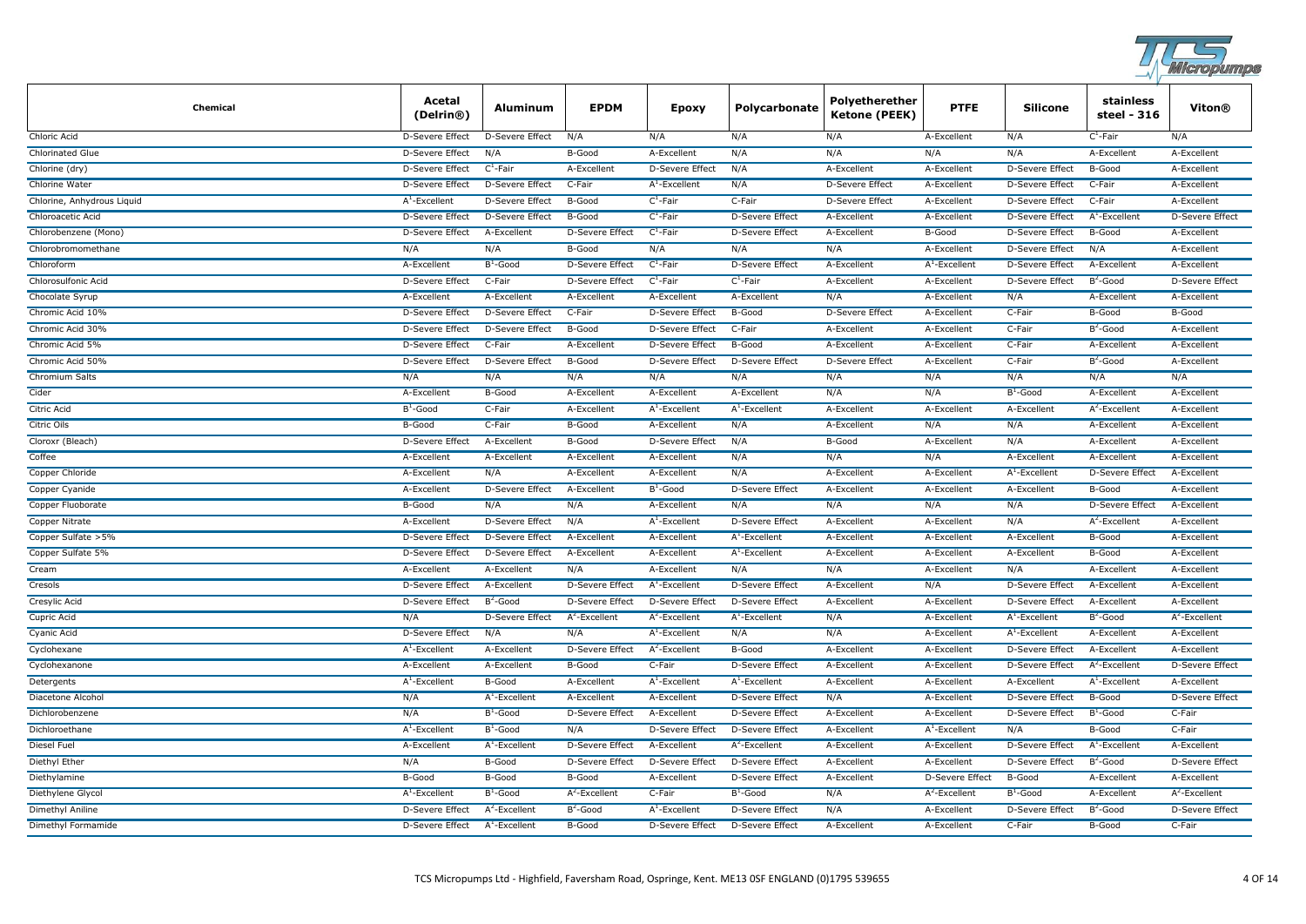

| Chemical                   | Acetal<br>(Delrin®)    | Aluminum               | <b>EPDM</b>            | Epoxy                  | Polycarbonate          | Polyetherether<br><b>Ketone (PEEK)</b> | <b>PTFE</b>            | <b>Silicone</b>        | stainless<br>steel - 316 | Viton®                 |
|----------------------------|------------------------|------------------------|------------------------|------------------------|------------------------|----------------------------------------|------------------------|------------------------|--------------------------|------------------------|
| Chloric Acid               | D-Severe Effect        | D-Severe Effect        | N/A                    | N/A                    | N/A                    | N/A                                    | A-Excellent            | N/A                    | $C^1$ -Fair              | N/A                    |
| <b>Chlorinated Glue</b>    | D-Severe Effect        | N/A                    | B-Good                 | A-Excellent            | N/A                    | N/A                                    | N/A                    | N/A                    | A-Excellent              | A-Excellent            |
| Chlorine (dry)             | D-Severe Effect        | $C^1$ -Fair            | A-Excellent            | D-Severe Effect        | N/A                    | A-Excellent                            | A-Excellent            | D-Severe Effect        | B-Good                   | A-Excellent            |
| Chlorine Water             | <b>D-Severe Effect</b> | <b>D-Severe Effect</b> | C-Fair                 | $A^1$ -Excellent       | N/A                    | <b>D-Severe Effect</b>                 | A-Excellent            | <b>D-Severe Effect</b> | C-Fair                   | A-Excellent            |
| Chlorine, Anhydrous Liquid | $A^1$ -Excellent       | <b>D-Severe Effect</b> | B-Good                 | $C^1$ -Fair            | C-Fair                 | D-Severe Effect                        | A-Excellent            | <b>D-Severe Effect</b> | C-Fair                   | A-Excellent            |
| Chloroacetic Acid          | D-Severe Effect        | D-Severe Effect        | B-Good                 | $C^1$ -Fair            | <b>D-Severe Effect</b> | A-Excellent                            | A-Excellent            | D-Severe Effect        | $A^1$ -Excellent         | D-Severe Effect        |
| Chlorobenzene (Mono)       | D-Severe Effect        | A-Excellent            | D-Severe Effect        | $C^1$ -Fair            | <b>D-Severe Effect</b> | A-Excellent                            | B-Good                 | <b>D-Severe Effect</b> | B-Good                   | A-Excellent            |
| Chlorobromomethane         | N/A                    | N/A                    | B-Good                 | N/A                    | N/A                    | N/A                                    | A-Excellent            | D-Severe Effect        | N/A                      | A-Excellent            |
| Chloroform                 | A-Excellent            | $B^1$ -Good            | <b>D-Severe Effect</b> | $C^1$ -Fair            | <b>D-Severe Effect</b> | A-Excellent                            | $A^1$ -Excellent       | <b>D-Severe Effect</b> | A-Excellent              | A-Excellent            |
| Chlorosulfonic Acid        | D-Severe Effect        | C-Fair                 | <b>D-Severe Effect</b> | $C^1$ -Fair            | $C^1$ -Fair            | A-Excellent                            | A-Excellent            | D-Severe Effect        | $B^2$ -Good              | <b>D-Severe Effect</b> |
| Chocolate Syrup            | A-Excellent            | A-Excellent            | A-Excellent            | A-Excellent            | A-Excellent            | N/A                                    | A-Excellent            | N/A                    | A-Excellent              | A-Excellent            |
| Chromic Acid 10%           | D-Severe Effect        | <b>D-Severe Effect</b> | C-Fair                 | <b>D-Severe Effect</b> | B-Good                 | <b>D-Severe Effect</b>                 | A-Excellent            | C-Fair                 | B-Good                   | B-Good                 |
| Chromic Acid 30%           | D-Severe Effect        | D-Severe Effect        | B-Good                 | D-Severe Effect        | C-Fair                 | A-Excellent                            | A-Excellent            | C-Fair                 | $B2$ -Good               | A-Excellent            |
| Chromic Acid 5%            | D-Severe Effect        | C-Fair                 | A-Excellent            | D-Severe Effect        | B-Good                 | A-Excellent                            | A-Excellent            | C-Fair                 | A-Excellent              | A-Excellent            |
| Chromic Acid 50%           | <b>D-Severe Effect</b> | <b>D-Severe Effect</b> | B-Good                 | <b>D-Severe Effect</b> | <b>D-Severe Effect</b> | <b>D-Severe Effect</b>                 | A-Excellent            | C-Fair                 | $B^2$ -Good              | A-Excellent            |
| Chromium Salts             | N/A                    | N/A                    | N/A                    | N/A                    | N/A                    | N/A                                    | N/A                    | N/A                    | N/A                      | N/A                    |
| Cider                      | A-Excellent            | B-Good                 | A-Excellent            | A-Excellent            | A-Excellent            | N/A                                    | N/A                    | $B^1$ -Good            | A-Excellent              | A-Excellent            |
| Citric Acid                | $B^1$ -Good            | C-Fair                 | A-Excellent            | $A^1$ -Excellent       | $A^1$ -Excellent       | A-Excellent                            | A-Excellent            | A-Excellent            | $A^2$ -Excellent         | A-Excellent            |
| <b>Citric Oils</b>         | B-Good                 | C-Fair                 | B-Good                 | A-Excellent            | N/A                    | A-Excellent                            | N/A                    | N/A                    | A-Excellent              | A-Excellent            |
| Cloroxr (Bleach)           | <b>D-Severe Effect</b> | A-Excellent            | B-Good                 | <b>D-Severe Effect</b> | N/A                    | B-Good                                 | A-Excellent            | N/A                    | A-Excellent              | A-Excellent            |
| Coffee                     | A-Excellent            | A-Excellent            | A-Excellent            | A-Excellent            | N/A                    | N/A                                    | N/A                    | A-Excellent            | A-Excellent              | A-Excellent            |
| Copper Chloride            | A-Excellent            | N/A                    | A-Excellent            | A-Excellent            | N/A                    | A-Excellent                            | A-Excellent            | $A^1$ -Excellent       | <b>D-Severe Effect</b>   | A-Excellent            |
| Copper Cyanide             | A-Excellent            | <b>D-Severe Effect</b> | A-Excellent            | $B^1$ -Good            | <b>D-Severe Effect</b> | A-Excellent                            | A-Excellent            | A-Excellent            | B-Good                   | A-Excellent            |
| Copper Fluoborate          | B-Good                 | N/A                    | N/A                    | A-Excellent            | N/A                    | N/A                                    | N/A                    | N/A                    | <b>D-Severe Effect</b>   | A-Excellent            |
| <b>Copper Nitrate</b>      | A-Excellent            | <b>D-Severe Effect</b> | N/A                    | $A^1$ -Excellent       | <b>D-Severe Effect</b> | A-Excellent                            | A-Excellent            | N/A                    | $A^2$ -Excellent         | A-Excellent            |
| Copper Sulfate > 5%        | D-Severe Effect        | D-Severe Effect        | A-Excellent            | A-Excellent            | $A1$ -Excellent        | A-Excellent                            | A-Excellent            | A-Excellent            | B-Good                   | A-Excellent            |
| Copper Sulfate 5%          | D-Severe Effect        | <b>D-Severe Effect</b> | A-Excellent            | A-Excellent            | $A^T$ -Excellent       | A-Excellent                            | A-Excellent            | A-Excellent            | B-Good                   | A-Excellent            |
| Cream                      | A-Excellent            | A-Excellent            | N/A                    | A-Excellent            | N/A                    | N/A                                    | A-Excellent            | N/A                    | A-Excellent              | A-Excellent            |
| Cresols                    | D-Severe Effect        | A-Excellent            | D-Severe Effect        | $A^1$ -Excellent       | D-Severe Effect        | A-Excellent                            | N/A                    | <b>D-Severe Effect</b> | A-Excellent              | A-Excellent            |
| Cresylic Acid              | D-Severe Effect        | $B^2$ -Good            | <b>D-Severe Effect</b> | <b>D-Severe Effect</b> | <b>D-Severe Effect</b> | A-Excellent                            | A-Excellent            | D-Severe Effect        | A-Excellent              | A-Excellent            |
| Cupric Acid                | N/A                    | D-Severe Effect        | $A^2$ -Excellent       | $A^2$ -Excellent       | $A^1$ -Excellent       | N/A                                    | A-Excellent            | $A^1$ -Excellent       | $B^2$ -Good              | $A^2$ -Excellent       |
| Cyanic Acid                | D-Severe Effect        | N/A                    | N/A                    | $A^1$ -Excellent       | N/A                    | N/A                                    | A-Excellent            | $A^1$ -Excellent       | A-Excellent              | A-Excellent            |
| Cyclohexane                | $A^1$ -Excellent       | A-Excellent            | <b>D-Severe Effect</b> | $A^2$ -Excellent       | B-Good                 | A-Excellent                            | A-Excellent            | D-Severe Effect        | A-Excellent              | A-Excellent            |
| Cyclohexanone              | A-Excellent            | A-Excellent            | B-Good                 | C-Fair                 | <b>D-Severe Effect</b> | A-Excellent                            | A-Excellent            | D-Severe Effect        | $A^2$ -Excellent         | <b>D-Severe Effect</b> |
| Detergents                 | $A^1$ -Excellent       | B-Good                 | A-Excellent            | $A^1$ -Excellent       | $A^1$ -Excellent       | A-Excellent                            | A-Excellent            | A-Excellent            | $A^1$ -Excellent         | A-Excellent            |
| Diacetone Alcohol          | N/A                    | $A^1$ -Excellent       | A-Excellent            | A-Excellent            | <b>D-Severe Effect</b> | N/A                                    | A-Excellent            | <b>D-Severe Effect</b> | B-Good                   | <b>D-Severe Effect</b> |
| Dichlorobenzene            | N/A                    | $B^1$ -Good            | D-Severe Effect        | A-Excellent            | D-Severe Effect        | A-Excellent                            | A-Excellent            | <b>D-Severe Effect</b> | $B^1$ -Good              | C-Fair                 |
| Dichloroethane             | $A^1$ -Excellent       | $B^1$ -Good            | N/A                    | <b>D-Severe Effect</b> | <b>D-Severe Effect</b> | A-Excellent                            | $A^1$ -Excellent       | N/A                    | B-Good                   | C-Fair                 |
| <b>Diesel Fuel</b>         | A-Excellent            | $A^1$ -Excellent       | <b>D-Severe Effect</b> | A-Excellent            | $A^2$ -Excellent       | A-Excellent                            | A-Excellent            | <b>D-Severe Effect</b> | $A^1$ -Excellent         | A-Excellent            |
| Diethyl Ether              | N/A                    | B-Good                 | D-Severe Effect        | D-Severe Effect        | D-Severe Effect        | A-Excellent                            | A-Excellent            | D-Severe Effect        | $B^2$ -Good              | D-Severe Effect        |
| Diethylamine               | B-Good                 | B-Good                 | B-Good                 | A-Excellent            | <b>D-Severe Effect</b> | A-Excellent                            | <b>D-Severe Effect</b> | B-Good                 | A-Excellent              | A-Excellent            |
| Diethylene Glycol          | $A^1$ -Excellent       | $B^1$ -Good            | $A^2$ -Excellent       | C-Fair                 | $B^1$ -Good            | N/A                                    | $A^2$ -Excellent       | $B^1$ -Good            | A-Excellent              | $A^2$ -Excellent       |
| Dimethyl Aniline           | <b>D-Severe Effect</b> | $A^2$ -Excellent       | $B^2$ -Good            | $A^1$ -Excellent       | <b>D-Severe Effect</b> | N/A                                    | A-Excellent            | <b>D-Severe Effect</b> | $B^2$ -Good              | <b>D-Severe Effect</b> |
| Dimethyl Formamide         | <b>D-Severe Effect</b> | $A^1$ -Excellent       | B-Good                 | <b>D-Severe Effect</b> | D-Severe Effect        | A-Excellent                            | A-Excellent            | C-Fair                 | B-Good                   | C-Fair                 |
|                            |                        |                        |                        |                        |                        |                                        |                        |                        |                          |                        |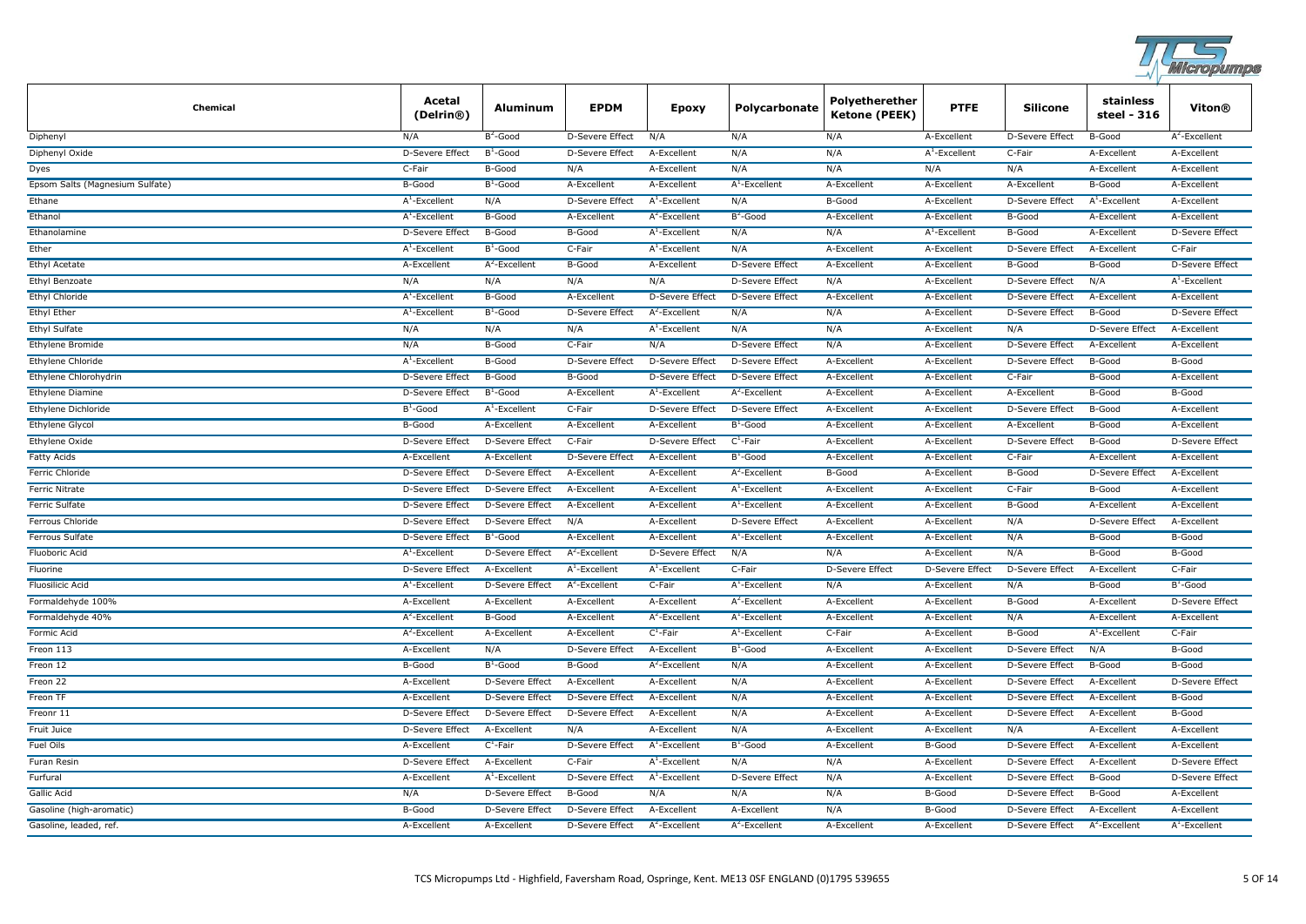

| Chemical                        | Acetal<br>(Delrin®)    | Aluminum               | <b>EPDM</b>            | Epoxy                  | Polycarbonate          | Polyetherether<br><b>Ketone (PEEK)</b> | <b>PTFE</b>            | <b>Silicone</b>        | stainless<br>steel - 316 | Viton®                 |
|---------------------------------|------------------------|------------------------|------------------------|------------------------|------------------------|----------------------------------------|------------------------|------------------------|--------------------------|------------------------|
| Diphenyl                        | N/A                    | $B^2$ -Good            | D-Severe Effect        | N/A                    | N/A                    | N/A                                    | A-Excellent            | D-Severe Effect        | B-Good                   | $A^2$ -Excellent       |
| Diphenyl Oxide                  | D-Severe Effect        | $B^1$ -Good            | D-Severe Effect        | A-Excellent            | N/A                    | N/A                                    | $A^1$ -Excellent       | C-Fair                 | A-Excellent              | A-Excellent            |
| Dyes                            | C-Fair                 | B-Good                 | N/A                    | A-Excellent            | N/A                    | N/A                                    | N/A                    | N/A                    | A-Excellent              | A-Excellent            |
| Epsom Salts (Magnesium Sulfate) | B-Good                 | $B^1$ -Good            | A-Excellent            | A-Excellent            | $A^1$ -Excellent       | A-Excellent                            | A-Excellent            | A-Excellent            | B-Good                   | A-Excellent            |
| Ethane                          | $A^1$ -Excellent       | N/A                    | D-Severe Effect        | $A^1$ -Excellent       | N/A                    | B-Good                                 | A-Excellent            | D-Severe Effect        | $A^1$ -Excellent         | A-Excellent            |
| Ethanol                         | $A^1$ -Excellent       | B-Good                 | A-Excellent            | $A^2$ -Excellent       | $B^2$ -Good            | A-Excellent                            | A-Excellent            | B-Good                 | A-Excellent              | A-Excellent            |
| Ethanolamine                    | D-Severe Effect        | B-Good                 | B-Good                 | $A^1$ -Excellent       | N/A                    | N/A                                    | $A^1$ -Excellent       | B-Good                 | A-Excellent              | <b>D-Severe Effect</b> |
| Ether                           | $A^1$ -Excellent       | $B^1$ -Good            | C-Fair                 | $A^1$ -Excellent       | N/A                    | A-Excellent                            | A-Excellent            | D-Severe Effect        | A-Excellent              | C-Fair                 |
| <b>Ethyl Acetate</b>            | A-Excellent            | $A^2$ -Excellent       | B-Good                 | A-Excellent            | <b>D-Severe Effect</b> | A-Excellent                            | A-Excellent            | B-Good                 | B-Good                   | <b>D-Severe Effect</b> |
| <b>Ethyl Benzoate</b>           | N/A                    | N/A                    | N/A                    | N/A                    | <b>D-Severe Effect</b> | N/A                                    | A-Excellent            | <b>D-Severe Effect</b> | N/A                      | $A^1$ -Excellent       |
| <b>Ethyl Chloride</b>           | $A^1$ -Excellent       | B-Good                 | A-Excellent            | <b>D-Severe Effect</b> | <b>D-Severe Effect</b> | A-Excellent                            | A-Excellent            | <b>D-Severe Effect</b> | A-Excellent              | A-Excellent            |
| <b>Ethyl Ether</b>              | $A^1$ -Excellent       | $B^1$ -Good            | <b>D-Severe Effect</b> | $A^2$ -Excellent       | N/A                    | N/A                                    | A-Excellent            | D-Severe Effect        | B-Good                   | <b>D-Severe Effect</b> |
| <b>Ethyl Sulfate</b>            | N/A                    | N/A                    | N/A                    | $A1$ -Excellent        | N/A                    | N/A                                    | A-Excellent            | N/A                    | D-Severe Effect          | A-Excellent            |
| Ethylene Bromide                | N/A                    | B-Good                 | C-Fair                 | N/A                    | <b>D-Severe Effect</b> | N/A                                    | A-Excellent            | <b>D-Severe Effect</b> | A-Excellent              | A-Excellent            |
| <b>Ethylene Chloride</b>        | $A^1$ -Excellent       | B-Good                 | <b>D-Severe Effect</b> | <b>D-Severe Effect</b> | <b>D-Severe Effect</b> | A-Excellent                            | A-Excellent            | <b>D-Severe Effect</b> | B-Good                   | B-Good                 |
| Ethylene Chlorohydrin           | <b>D-Severe Effect</b> | B-Good                 | B-Good                 | <b>D-Severe Effect</b> | <b>D-Severe Effect</b> | A-Excellent                            | A-Excellent            | C-Fair                 | B-Good                   | A-Excellent            |
| Ethylene Diamine                | D-Severe Effect        | $B^1$ -Good            | A-Excellent            | $A^1$ -Excellent       | $A^2$ -Excellent       | A-Excellent                            | A-Excellent            | A-Excellent            | B-Good                   | B-Good                 |
| Ethylene Dichloride             | $B^1$ -Good            | $A^1$ -Excellent       | C-Fair                 | D-Severe Effect        | D-Severe Effect        | A-Excellent                            | A-Excellent            | D-Severe Effect        | B-Good                   | A-Excellent            |
| Ethylene Glycol                 | B-Good                 | A-Excellent            | A-Excellent            | A-Excellent            | $B^1$ -Good            | A-Excellent                            | A-Excellent            | A-Excellent            | B-Good                   | A-Excellent            |
| <b>Ethylene Oxide</b>           | D-Severe Effect        | <b>D-Severe Effect</b> | C-Fair                 | <b>D-Severe Effect</b> | $C^1$ -Fair            | A-Excellent                            | A-Excellent            | D-Severe Effect        | B-Good                   | D-Severe Effect        |
| Fatty Acids                     | A-Excellent            | A-Excellent            | <b>D-Severe Effect</b> | A-Excellent            | $B^1$ -Good            | A-Excellent                            | A-Excellent            | C-Fair                 | A-Excellent              | A-Excellent            |
| <b>Ferric Chloride</b>          | D-Severe Effect        | <b>D-Severe Effect</b> | A-Excellent            | A-Excellent            | $A^2$ -Excellent       | B-Good                                 | A-Excellent            | <b>B-Good</b>          | D-Severe Effect          | A-Excellent            |
| <b>Ferric Nitrate</b>           | D-Severe Effect        | D-Severe Effect        | A-Excellent            | A-Excellent            | $A^1$ -Excellent       | A-Excellent                            | A-Excellent            | C-Fair                 | B-Good                   | A-Excellent            |
| Ferric Sulfate                  | D-Severe Effect        | <b>D-Severe Effect</b> | A-Excellent            | A-Excellent            | $A^1$ -Excellent       | A-Excellent                            | A-Excellent            | B-Good                 | A-Excellent              | A-Excellent            |
| Ferrous Chloride                | D-Severe Effect        | <b>D-Severe Effect</b> | N/A                    | A-Excellent            | D-Severe Effect        | A-Excellent                            | A-Excellent            | N/A                    | <b>D-Severe Effect</b>   | A-Excellent            |
| <b>Ferrous Sulfate</b>          | D-Severe Effect        | $B^1$ -Good            | A-Excellent            | A-Excellent            | $A^1$ -Excellent       | A-Excellent                            | A-Excellent            | N/A                    | B-Good                   | B-Good                 |
| Fluoboric Acid                  | $A^1$ -Excellent       | <b>D-Severe Effect</b> | $A^2$ -Excellent       | D-Severe Effect        | N/A                    | N/A                                    | A-Excellent            | N/A                    | B-Good                   | B-Good                 |
| Fluorine                        | <b>D-Severe Effect</b> | A-Excellent            | $A^1$ -Excellent       | $A^1$ -Excellent       | C-Fair                 | <b>D-Severe Effect</b>                 | <b>D-Severe Effect</b> | <b>D-Severe Effect</b> | A-Excellent              | C-Fair                 |
| <b>Fluosilicic Acid</b>         | $A^1$ -Excellent       | <b>D-Severe Effect</b> | $A^2$ -Excellent       | C-Fair                 | $A^1$ -Excellent       | N/A                                    | A-Excellent            | N/A                    | B-Good                   | $B^1$ -Good            |
| Formaldehyde 100%               | A-Excellent            | A-Excellent            | A-Excellent            | A-Excellent            | $A^2$ -Excellent       | A-Excellent                            | A-Excellent            | B-Good                 | A-Excellent              | <b>D-Severe Effect</b> |
| Formaldehyde 40%                | $A^2$ -Excellent       | B-Good                 | A-Excellent            | $A^2$ -Excellent       | $A^1$ -Excellent       | A-Excellent                            | A-Excellent            | N/A                    | A-Excellent              | A-Excellent            |
| Formic Acid                     | $A^2$ -Excellent       | A-Excellent            | A-Excellent            | $C^1$ -Fair            | $A^1$ -Excellent       | C-Fair                                 | A-Excellent            | <b>B-Good</b>          | $A^1$ -Excellent         | C-Fair                 |
| Freon 113                       | A-Excellent            | N/A                    | <b>D-Severe Effect</b> | A-Excellent            | $B^1$ -Good            | A-Excellent                            | A-Excellent            | <b>D-Severe Effect</b> | N/A                      | B-Good                 |
| Freon 12                        | B-Good                 | $B^1$ -Good            | B-Good                 | $A^2$ -Excellent       | N/A                    | A-Excellent                            | A-Excellent            | D-Severe Effect        | B-Good                   | B-Good                 |
| Freon 22                        | A-Excellent            | <b>D-Severe Effect</b> | A-Excellent            | A-Excellent            | N/A                    | A-Excellent                            | A-Excellent            | D-Severe Effect        | A-Excellent              | D-Severe Effect        |
| Freon TF                        | A-Excellent            | <b>D-Severe Effect</b> | <b>D-Severe Effect</b> | A-Excellent            | N/A                    | A-Excellent                            | A-Excellent            | D-Severe Effect        | A-Excellent              | B-Good                 |
| Freonr 11                       | D-Severe Effect        | D-Severe Effect        | D-Severe Effect        | A-Excellent            | N/A                    | A-Excellent                            | A-Excellent            | D-Severe Effect        | A-Excellent              | B-Good                 |
| Fruit Juice                     | D-Severe Effect        | A-Excellent            | N/A                    | A-Excellent            | N/A                    | A-Excellent                            | A-Excellent            | N/A                    | A-Excellent              | A-Excellent            |
| <b>Fuel Oils</b>                | A-Excellent            | $C^1$ -Fair            | <b>D-Severe Effect</b> | $A^1$ -Excellent       | $B^1$ -Good            | A-Excellent                            | B-Good                 | <b>D-Severe Effect</b> | A-Excellent              | A-Excellent            |
| Furan Resin                     | D-Severe Effect        | A-Excellent            | C-Fair                 | $A^1$ -Excellent       | N/A                    | N/A                                    | A-Excellent            | D-Severe Effect        | A-Excellent              | D-Severe Effect        |
| Furfural                        | A-Excellent            | $A^1$ -Excellent       | <b>D-Severe Effect</b> | $A^1$ -Excellent       | <b>D-Severe Effect</b> | N/A                                    | A-Excellent            | <b>D-Severe Effect</b> | B-Good                   | <b>D-Severe Effect</b> |
| <b>Gallic Acid</b>              | N/A                    | <b>D-Severe Effect</b> | B-Good                 | N/A                    | N/A                    | N/A                                    | B-Good                 | <b>D-Severe Effect</b> | B-Good                   | A-Excellent            |
| Gasoline (high-aromatic)        | B-Good                 | <b>D-Severe Effect</b> | D-Severe Effect        | A-Excellent            | A-Excellent            | N/A                                    | B-Good                 | D-Severe Effect        | A-Excellent              | A-Excellent            |
| Gasoline, leaded, ref.          | A-Excellent            | A-Excellent            | <b>D-Severe Effect</b> | $A^2$ -Excellent       | $A^2$ -Excellent       | A-Excellent                            | A-Excellent            | <b>D-Severe Effect</b> | $A^2$ -Excellent         | $A^1$ -Excellent       |
|                                 |                        |                        |                        |                        |                        |                                        |                        |                        |                          |                        |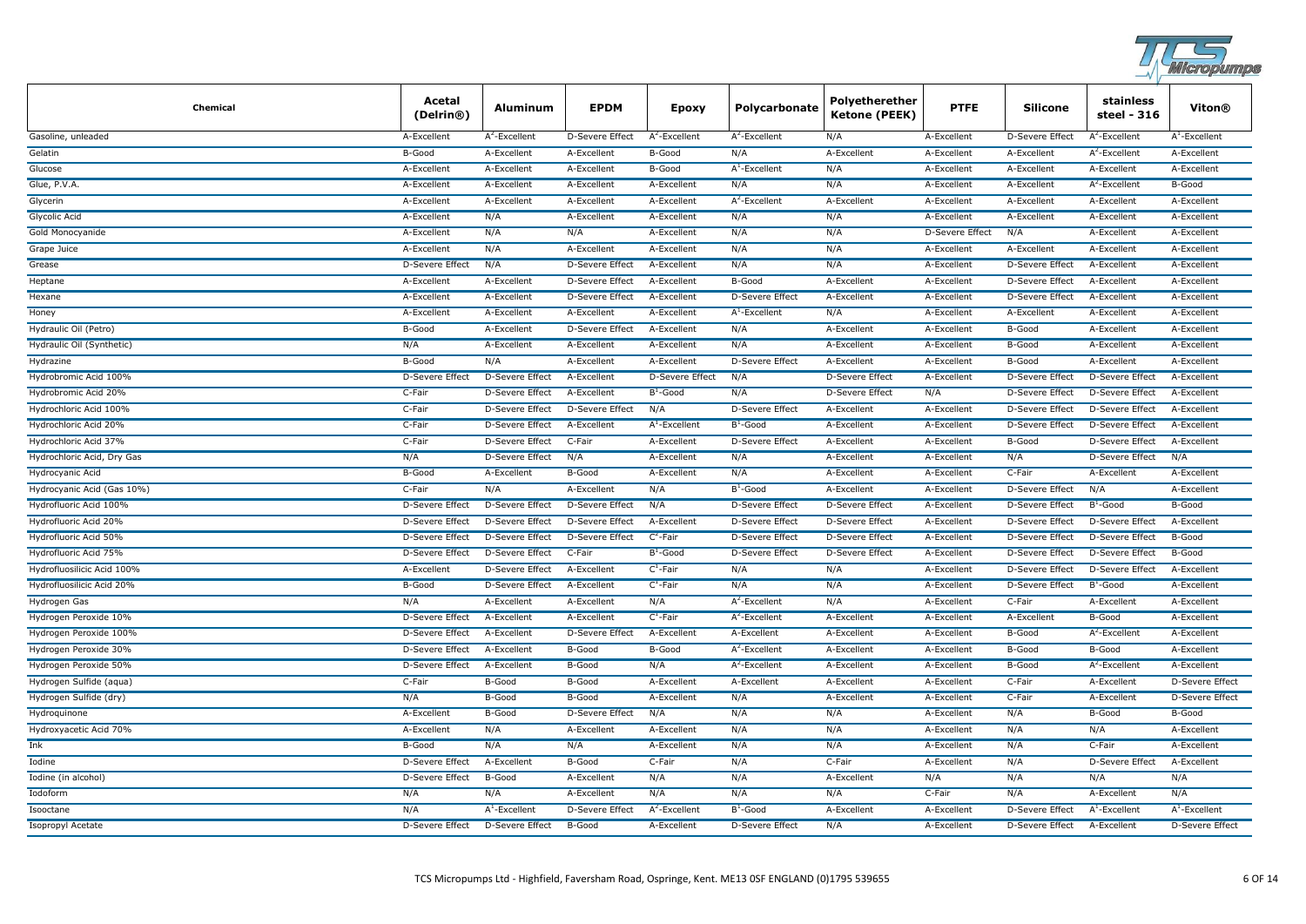

| <b>Chemical</b>            | Acetal<br>(Delrin®)    | Aluminum               | <b>EPDM</b>            | <b>Epoxy</b>           | Polycarbonate          | Polyetherether<br>Ketone (PEEK) | <b>PTFE</b>            | <b>Silicone</b>        | stainless<br>steel - 316 | Viton®                 |
|----------------------------|------------------------|------------------------|------------------------|------------------------|------------------------|---------------------------------|------------------------|------------------------|--------------------------|------------------------|
| Gasoline, unleaded         | A-Excellent            | $A^2$ -Excellent       | D-Severe Effect        | $A^2$ -Excellent       | $A^2$ -Excellent       | N/A                             | A-Excellent            | D-Severe Effect        | $A^2$ -Excellent         | $A^1$ -Excellent       |
| Gelatin                    | B-Good                 | A-Excellent            | A-Excellent            | B-Good                 | N/A                    | A-Excellent                     | A-Excellent            | A-Excellent            | $A^2$ -Excellent         | A-Excellent            |
| Glucose                    | A-Excellent            | A-Excellent            | A-Excellent            | B-Good                 | $A^1$ -Excellent       | N/A                             | A-Excellent            | A-Excellent            | A-Excellent              | A-Excellent            |
| Glue, P.V.A.               | A-Excellent            | A-Excellent            | A-Excellent            | A-Excellent            | N/A                    | N/A                             | A-Excellent            | A-Excellent            | $A2$ -Excellent          | B-Good                 |
| Glycerin                   | A-Excellent            | A-Excellent            | A-Excellent            | A-Excellent            | $A^2$ -Excellent       | A-Excellent                     | A-Excellent            | A-Excellent            | A-Excellent              | A-Excellent            |
| Glycolic Acid              | A-Excellent            | N/A                    | A-Excellent            | A-Excellent            | N/A                    | N/A                             | A-Excellent            | A-Excellent            | A-Excellent              | A-Excellent            |
| Gold Monocyanide           | A-Excellent            | N/A                    | N/A                    | A-Excellent            | N/A                    | N/A                             | <b>D-Severe Effect</b> | N/A                    | A-Excellent              | A-Excellent            |
| Grape Juice                | A-Excellent            | N/A                    | A-Excellent            | A-Excellent            | N/A                    | N/A                             | A-Excellent            | A-Excellent            | A-Excellent              | A-Excellent            |
| Grease                     | <b>D-Severe Effect</b> | N/A                    | <b>D-Severe Effect</b> | A-Excellent            | N/A                    | N/A                             | A-Excellent            | <b>D-Severe Effect</b> | A-Excellent              | A-Excellent            |
| Heptane                    | A-Excellent            | A-Excellent            | D-Severe Effect        | A-Excellent            | B-Good                 | A-Excellent                     | A-Excellent            | <b>D-Severe Effect</b> | A-Excellent              | A-Excellent            |
| Hexane                     | A-Excellent            | A-Excellent            | D-Severe Effect        | A-Excellent            | D-Severe Effect        | A-Excellent                     | A-Excellent            | <b>D-Severe Effect</b> | A-Excellent              | A-Excellent            |
| Honey                      | A-Excellent            | A-Excellent            | A-Excellent            | A-Excellent            | $A^1$ -Excellent       | N/A                             | A-Excellent            | A-Excellent            | A-Excellent              | A-Excellent            |
| Hydraulic Oil (Petro)      | B-Good                 | A-Excellent            | D-Severe Effect        | A-Excellent            | N/A                    | A-Excellent                     | A-Excellent            | B-Good                 | A-Excellent              | A-Excellent            |
| Hydraulic Oil (Synthetic)  | N/A                    | A-Excellent            | A-Excellent            | A-Excellent            | N/A                    | A-Excellent                     | A-Excellent            | B-Good                 | A-Excellent              | A-Excellent            |
| Hydrazine                  | B-Good                 | N/A                    | A-Excellent            | A-Excellent            | <b>D-Severe Effect</b> | A-Excellent                     | A-Excellent            | B-Good                 | A-Excellent              | A-Excellent            |
| Hydrobromic Acid 100%      | D-Severe Effect        | D-Severe Effect        | A-Excellent            | <b>D-Severe Effect</b> | N/A                    | <b>D-Severe Effect</b>          | A-Excellent            | <b>D-Severe Effect</b> | D-Severe Effect          | A-Excellent            |
| Hydrobromic Acid 20%       | C-Fair                 | <b>D-Severe Effect</b> | A-Excellent            | $B^1$ -Good            | N/A                    | <b>D-Severe Effect</b>          | N/A                    | <b>D-Severe Effect</b> | D-Severe Effect          | A-Excellent            |
| Hydrochloric Acid 100%     | C-Fair                 | <b>D-Severe Effect</b> | D-Severe Effect        | N/A                    | D-Severe Effect        | A-Excellent                     | A-Excellent            | <b>D-Severe Effect</b> | D-Severe Effect          | A-Excellent            |
| Hydrochloric Acid 20%      | C-Fair                 | <b>D-Severe Effect</b> | A-Excellent            | $A^1$ -Excellent       | $B^1$ -Good            | A-Excellent                     | A-Excellent            | <b>D-Severe Effect</b> | <b>D-Severe Effect</b>   | A-Excellent            |
| Hydrochloric Acid 37%      | C-Fair                 | <b>D-Severe Effect</b> | C-Fair                 | A-Excellent            | <b>D-Severe Effect</b> | A-Excellent                     | A-Excellent            | B-Good                 | <b>D-Severe Effect</b>   | A-Excellent            |
| Hydrochloric Acid, Dry Gas | N/A                    | <b>D-Severe Effect</b> | N/A                    | A-Excellent            | N/A                    | A-Excellent                     | A-Excellent            | N/A                    | D-Severe Effect          | N/A                    |
| Hydrocyanic Acid           | B-Good                 | A-Excellent            | B-Good                 | A-Excellent            | N/A                    | A-Excellent                     | A-Excellent            | C-Fair                 | A-Excellent              | A-Excellent            |
| Hydrocyanic Acid (Gas 10%) | C-Fair                 | N/A                    | A-Excellent            | N/A                    | $B^1$ -Good            | A-Excellent                     | A-Excellent            | <b>D-Severe Effect</b> | N/A                      | A-Excellent            |
| Hydrofluoric Acid 100%     | D-Severe Effect        | <b>D-Severe Effect</b> | D-Severe Effect        | N/A                    | D-Severe Effect        | D-Severe Effect                 | A-Excellent            | <b>D-Severe Effect</b> | $B^1$ -Good              | B-Good                 |
| Hydrofluoric Acid 20%      | D-Severe Effect        | <b>D-Severe Effect</b> | D-Severe Effect        | A-Excellent            | D-Severe Effect        | <b>D-Severe Effect</b>          | A-Excellent            | <b>D-Severe Effect</b> | D-Severe Effect          | A-Excellent            |
| Hydrofluoric Acid 50%      | D-Severe Effect        | D-Severe Effect        | D-Severe Effect        | $C^2$ -Fair            | D-Severe Effect        | D-Severe Effect                 | A-Excellent            | D-Severe Effect        | D-Severe Effect          | <b>B-Good</b>          |
| Hydrofluoric Acid 75%      | D-Severe Effect        | <b>D-Severe Effect</b> | C-Fair                 | $B^1$ -Good            | D-Severe Effect        | D-Severe Effect                 | A-Excellent            | <b>D-Severe Effect</b> | D-Severe Effect          | B-Good                 |
| Hydrofluosilicic Acid 100% | A-Excellent            | <b>D-Severe Effect</b> | A-Excellent            | $C^1$ -Fair            | N/A                    | N/A                             | A-Excellent            | <b>D-Severe Effect</b> | <b>D-Severe Effect</b>   | A-Excellent            |
| Hydrofluosilicic Acid 20%  | B-Good                 | <b>D-Severe Effect</b> | A-Excellent            | $C^1$ -Fair            | N/A                    | N/A                             | A-Excellent            | <b>D-Severe Effect</b> | $B^1$ -Good              | A-Excellent            |
| Hydrogen Gas               | N/A                    | A-Excellent            | A-Excellent            | N/A                    | $A^2$ -Excellent       | N/A                             | A-Excellent            | C-Fair                 | A-Excellent              | A-Excellent            |
| Hydrogen Peroxide 10%      | D-Severe Effect        | A-Excellent            | A-Excellent            | $C^1$ -Fair            | $A^2$ -Excellent       | A-Excellent                     | A-Excellent            | A-Excellent            | B-Good                   | A-Excellent            |
| Hydrogen Peroxide 100%     | D-Severe Effect        | A-Excellent            | D-Severe Effect        | A-Excellent            | A-Excellent            | A-Excellent                     | A-Excellent            | B-Good                 | $A^2$ -Excellent         | A-Excellent            |
| Hydrogen Peroxide 30%      | <b>D-Severe Effect</b> | A-Excellent            | B-Good                 | B-Good                 | $A^2$ -Excellent       | A-Excellent                     | A-Excellent            | B-Good                 | B-Good                   | A-Excellent            |
| Hydrogen Peroxide 50%      | <b>D-Severe Effect</b> | A-Excellent            | B-Good                 | N/A                    | $A^2$ -Excellent       | A-Excellent                     | A-Excellent            | B-Good                 | $A^2$ -Excellent         | A-Excellent            |
| Hydrogen Sulfide (aqua)    | C-Fair                 | B-Good                 | B-Good                 | A-Excellent            | A-Excellent            | A-Excellent                     | A-Excellent            | C-Fair                 | A-Excellent              | <b>D-Severe Effect</b> |
| Hydrogen Sulfide (dry)     | N/A                    | B-Good                 | B-Good                 | A-Excellent            | N/A                    | A-Excellent                     | A-Excellent            | C-Fair                 | A-Excellent              | <b>D-Severe Effect</b> |
| Hydroquinone               | A-Excellent            | B-Good                 | D-Severe Effect        | N/A                    | N/A                    | N/A                             | A-Excellent            | N/A                    | B-Good                   | B-Good                 |
| Hydroxyacetic Acid 70%     | A-Excellent            | N/A                    | A-Excellent            | A-Excellent            | N/A                    | N/A                             | A-Excellent            | N/A                    | N/A                      | A-Excellent            |
| Ink                        | B-Good                 | N/A                    | N/A                    | A-Excellent            | N/A                    | N/A                             | A-Excellent            | N/A                    | C-Fair                   | A-Excellent            |
| Iodine                     | D-Severe Effect        | A-Excellent            | B-Good                 | C-Fair                 | N/A                    | C-Fair                          | A-Excellent            | N/A                    | D-Severe Effect          | A-Excellent            |
| Iodine (in alcohol)        | <b>D-Severe Effect</b> | B-Good                 | A-Excellent            | N/A                    | N/A                    | A-Excellent                     | N/A                    | N/A                    | N/A                      | N/A                    |
| Iodoform                   | N/A                    | N/A                    | A-Excellent            | N/A                    | N/A                    | N/A                             | C-Fair                 | N/A                    | A-Excellent              | N/A                    |
| Isooctane                  | N/A                    | $A^1$ -Excellent       | D-Severe Effect        | $A^2$ -Excellent       | $B^1$ -Good            | A-Excellent                     | A-Excellent            | <b>D-Severe Effect</b> | $A^1$ -Excellent         | $A^1$ -Excellent       |
| <b>Isopropyl Acetate</b>   | <b>D-Severe Effect</b> | <b>D-Severe Effect</b> | B-Good                 | A-Excellent            | <b>D-Severe Effect</b> | N/A                             | A-Excellent            | <b>D-Severe Effect</b> | A-Excellent              | <b>D-Severe Effect</b> |
|                            |                        |                        |                        |                        |                        |                                 |                        |                        |                          |                        |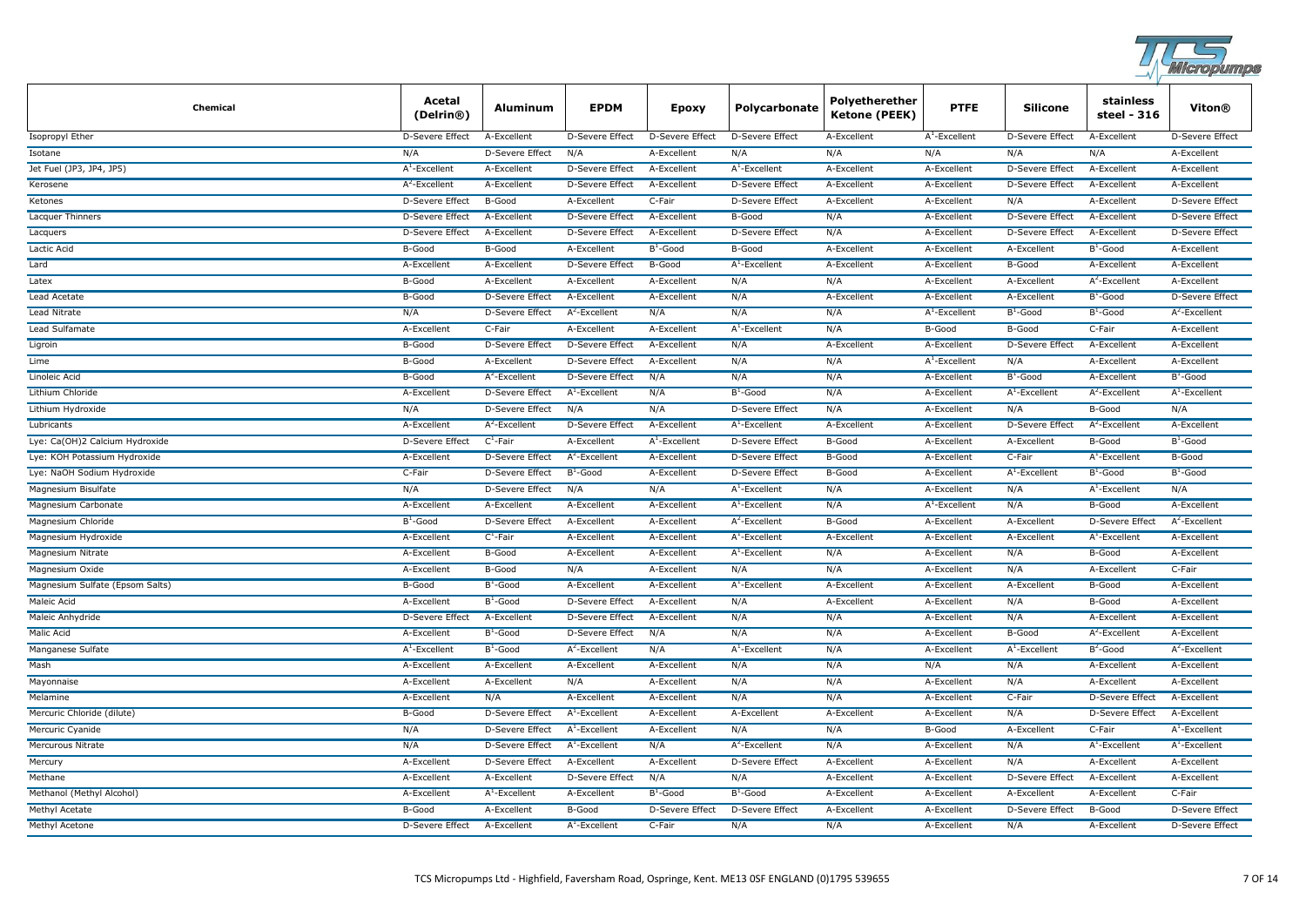

| Chemical                        | Acetal<br>(Delrin®)    | Aluminum               | <b>EPDM</b>            | <b>Epoxy</b>     | Polycarbonate          | Polyetherether<br>Ketone (PEEK) | <b>PTFE</b>      | <b>Silicone</b>        | stainless<br>steel - 316 | Viton®                 |
|---------------------------------|------------------------|------------------------|------------------------|------------------|------------------------|---------------------------------|------------------|------------------------|--------------------------|------------------------|
| Isopropyl Ether                 | D-Severe Effect        | A-Excellent            | D-Severe Effect        | D-Severe Effect  | D-Severe Effect        | A-Excellent                     | $A^1$ -Excellent | D-Severe Effect        | A-Excellent              | D-Severe Effect        |
| Isotane                         | N/A                    | <b>D-Severe Effect</b> | N/A                    | A-Excellent      | N/A                    | N/A                             | N/A              | N/A                    | N/A                      | A-Excellent            |
| Jet Fuel (JP3, JP4, JP5)        | $A^1$ -Excellent       | A-Excellent            | D-Severe Effect        | A-Excellent      | $A^1$ -Excellent       | A-Excellent                     | A-Excellent      | D-Severe Effect        | A-Excellent              | A-Excellent            |
| Kerosene                        | $A^2$ -Excellent       | A-Excellent            | D-Severe Effect        | A-Excellent      | <b>D-Severe Effect</b> | A-Excellent                     | A-Excellent      | <b>D-Severe Effect</b> | A-Excellent              | A-Excellent            |
| Ketones                         | D-Severe Effect        | B-Good                 | A-Excellent            | C-Fair           | D-Severe Effect        | A-Excellent                     | A-Excellent      | N/A                    | A-Excellent              | <b>D-Severe Effect</b> |
| Lacquer Thinners                | <b>D-Severe Effect</b> | A-Excellent            | <b>D-Severe Effect</b> | A-Excellent      | B-Good                 | N/A                             | A-Excellent      | <b>D-Severe Effect</b> | A-Excellent              | <b>D-Severe Effect</b> |
| Lacquers                        | <b>D-Severe Effect</b> | A-Excellent            | D-Severe Effect        | A-Excellent      | D-Severe Effect        | N/A                             | A-Excellent      | D-Severe Effect        | A-Excellent              | D-Severe Effect        |
| Lactic Acid                     | B-Good                 | B-Good                 | A-Excellent            | $B^1$ -Good      | B-Good                 | A-Excellent                     | A-Excellent      | A-Excellent            | $B^1$ -Good              | A-Excellent            |
| Lard                            | A-Excellent            | A-Excellent            | <b>D-Severe Effect</b> | B-Good           | $A^1$ -Excellent       | A-Excellent                     | A-Excellent      | B-Good                 | A-Excellent              | A-Excellent            |
| Latex                           | B-Good                 | A-Excellent            | A-Excellent            | A-Excellent      | N/A                    | N/A                             | A-Excellent      | A-Excellent            | $A^2$ -Excellent         | A-Excellent            |
| Lead Acetate                    | B-Good                 | D-Severe Effect        | A-Excellent            | A-Excellent      | N/A                    | A-Excellent                     | A-Excellent      | A-Excellent            | $B^1$ -Good              | D-Severe Effect        |
| Lead Nitrate                    | N/A                    | D-Severe Effect        | $A^2$ -Excellent       | N/A              | N/A                    | N/A                             | $A^1$ -Excellent | $B^1$ -Good            | $B^1$ -Good              | $A^2$ -Excellent       |
| Lead Sulfamate                  | A-Excellent            | C-Fair                 | A-Excellent            | A-Excellent      | $A^1$ -Excellent       | N/A                             | B-Good           | B-Good                 | C-Fair                   | A-Excellent            |
| Ligroin                         | B-Good                 | D-Severe Effect        | D-Severe Effect        | A-Excellent      | N/A                    | A-Excellent                     | A-Excellent      | <b>D-Severe Effect</b> | A-Excellent              | A-Excellent            |
| Lime                            | B-Good                 | A-Excellent            | <b>D-Severe Effect</b> | A-Excellent      | N/A                    | N/A                             | $A^1$ -Excellent | N/A                    | A-Excellent              | A-Excellent            |
| Linoleic Acid                   | B-Good                 | $A^2$ -Excellent       | <b>D-Severe Effect</b> | N/A              | N/A                    | N/A                             | A-Excellent      | $B^1$ -Good            | A-Excellent              | $B^1$ -Good            |
| Lithium Chloride                | A-Excellent            | <b>D-Severe Effect</b> | $A^1$ -Excellent       | N/A              | $B^1$ -Good            | N/A                             | A-Excellent      | $A^1$ -Excellent       | $A^2$ -Excellent         | $A^1$ -Excellent       |
| Lithium Hydroxide               | N/A                    | D-Severe Effect        | N/A                    | N/A              | D-Severe Effect        | N/A                             | A-Excellent      | N/A                    | B-Good                   | N/A                    |
| Lubricants                      | A-Excellent            | $A^2$ -Excellent       | D-Severe Effect        | A-Excellent      | $A^1$ -Excellent       | A-Excellent                     | A-Excellent      | D-Severe Effect        | $A^2$ -Excellent         | A-Excellent            |
| Lye: Ca(OH)2 Calcium Hydroxide  | D-Severe Effect        | $C^1$ -Fair            | A-Excellent            | $A^1$ -Excellent | D-Severe Effect        | B-Good                          | A-Excellent      | A-Excellent            | B-Good                   | $B^1$ -Good            |
| Lye: KOH Potassium Hydroxide    | A-Excellent            | D-Severe Effect        | $A^2$ -Excellent       | A-Excellent      | D-Severe Effect        | B-Good                          | A-Excellent      | C-Fair                 | $A^1$ -Excellent         | B-Good                 |
| Lye: NaOH Sodium Hydroxide      | C-Fair                 | <b>D-Severe Effect</b> | $B^1$ -Good            | A-Excellent      | D-Severe Effect        | B-Good                          | A-Excellent      | $A^1$ -Excellent       | $B^1$ -Good              | $B^1$ -Good            |
| Magnesium Bisulfate             | N/A                    | D-Severe Effect        | N/A                    | N/A              | $A^1$ -Excellent       | N/A                             | A-Excellent      | N/A                    | $A^1$ -Excellent         | N/A                    |
| Magnesium Carbonate             | A-Excellent            | A-Excellent            | A-Excellent            | A-Excellent      | $A^1$ -Excellent       | N/A                             | $A^1$ -Excellent | N/A                    | B-Good                   | A-Excellent            |
| Magnesium Chloride              | $B^1$ -Good            | <b>D-Severe Effect</b> | A-Excellent            | A-Excellent      | $A^2$ -Excellent       | B-Good                          | A-Excellent      | A-Excellent            | <b>D-Severe Effect</b>   | $A^2$ -Excellent       |
| Magnesium Hydroxide             | A-Excellent            | $C^1$ -Fair            | A-Excellent            | A-Excellent      | $A^1$ -Excellent       | A-Excellent                     | A-Excellent      | A-Excellent            | $A^1$ -Excellent         | A-Excellent            |
| Magnesium Nitrate               | A-Excellent            | B-Good                 | A-Excellent            | A-Excellent      | $A^1$ -Excellent       | N/A                             | A-Excellent      | N/A                    | B-Good                   | A-Excellent            |
| Magnesium Oxide                 | A-Excellent            | B-Good                 | N/A                    | A-Excellent      | N/A                    | N/A                             | A-Excellent      | N/A                    | A-Excellent              | C-Fair                 |
| Magnesium Sulfate (Epsom Salts) | B-Good                 | $B^1$ -Good            | A-Excellent            | A-Excellent      | $A^1$ -Excellent       | A-Excellent                     | A-Excellent      | A-Excellent            | B-Good                   | A-Excellent            |
| Maleic Acid                     | A-Excellent            | $B^1$ -Good            | D-Severe Effect        | A-Excellent      | N/A                    | A-Excellent                     | A-Excellent      | N/A                    | B-Good                   | A-Excellent            |
| Maleic Anhydride                | D-Severe Effect        | A-Excellent            | <b>D-Severe Effect</b> | A-Excellent      | N/A                    | N/A                             | A-Excellent      | N/A                    | A-Excellent              | A-Excellent            |
| Malic Acid                      | A-Excellent            | $B^1$ -Good            | D-Severe Effect        | N/A              | N/A                    | N/A                             | A-Excellent      | B-Good                 | $A^2$ -Excellent         | A-Excellent            |
| Manganese Sulfate               | $A^1$ -Excellent       | $B^1$ -Good            | $A^2$ -Excellent       | N/A              | $A^1$ -Excellent       | N/A                             | A-Excellent      | $A^1$ -Excellent       | $B^2$ -Good              | $A^2$ -Excellent       |
| Mash                            | A-Excellent            | A-Excellent            | A-Excellent            | A-Excellent      | N/A                    | N/A                             | N/A              | N/A                    | A-Excellent              | A-Excellent            |
| Mayonnaise                      | A-Excellent            | A-Excellent            | N/A                    | A-Excellent      | N/A                    | N/A                             | A-Excellent      | N/A                    | A-Excellent              | A-Excellent            |
| Melamine                        | A-Excellent            | N/A                    | A-Excellent            | A-Excellent      | N/A                    | N/A                             | A-Excellent      | C-Fair                 | <b>D-Severe Effect</b>   | A-Excellent            |
| Mercuric Chloride (dilute)      | B-Good                 | <b>D-Severe Effect</b> | $A^1$ -Excellent       | A-Excellent      | A-Excellent            | A-Excellent                     | A-Excellent      | N/A                    | <b>D-Severe Effect</b>   | A-Excellent            |
| Mercuric Cyanide                | N/A                    | <b>D-Severe Effect</b> | $A^1$ -Excellent       | A-Excellent      | N/A                    | N/A                             | B-Good           | A-Excellent            | C-Fair                   | $A^1$ -Excellent       |
| Mercurous Nitrate               | N/A                    | <b>D-Severe Effect</b> | $A^1$ -Excellent       | N/A              | $A^2$ -Excellent       | N/A                             | A-Excellent      | N/A                    | $A^1$ -Excellent         | $A^1$ -Excellent       |
| Mercury                         | A-Excellent            | D-Severe Effect        | A-Excellent            | A-Excellent      | D-Severe Effect        | A-Excellent                     | A-Excellent      | N/A                    | A-Excellent              | A-Excellent            |
| Methane                         | A-Excellent            | A-Excellent            | D-Severe Effect        | N/A              | N/A                    | A-Excellent                     | A-Excellent      | D-Severe Effect        | A-Excellent              | A-Excellent            |
| Methanol (Methyl Alcohol)       | A-Excellent            | $A^1$ -Excellent       | A-Excellent            | $B^1$ -Good      | $B^1$ -Good            | A-Excellent                     | A-Excellent      | A-Excellent            | A-Excellent              | C-Fair                 |
| Methyl Acetate                  | B-Good                 | A-Excellent            | B-Good                 | D-Severe Effect  | <b>D-Severe Effect</b> | A-Excellent                     | A-Excellent      | <b>D-Severe Effect</b> | B-Good                   | D-Severe Effect        |
| <b>Methyl Acetone</b>           | D-Severe Effect        | A-Excellent            | $A^1$ -Excellent       | C-Fair           | N/A                    | N/A                             | A-Excellent      | N/A                    | A-Excellent              | <b>D-Severe Effect</b> |
|                                 |                        |                        |                        |                  |                        |                                 |                  |                        |                          |                        |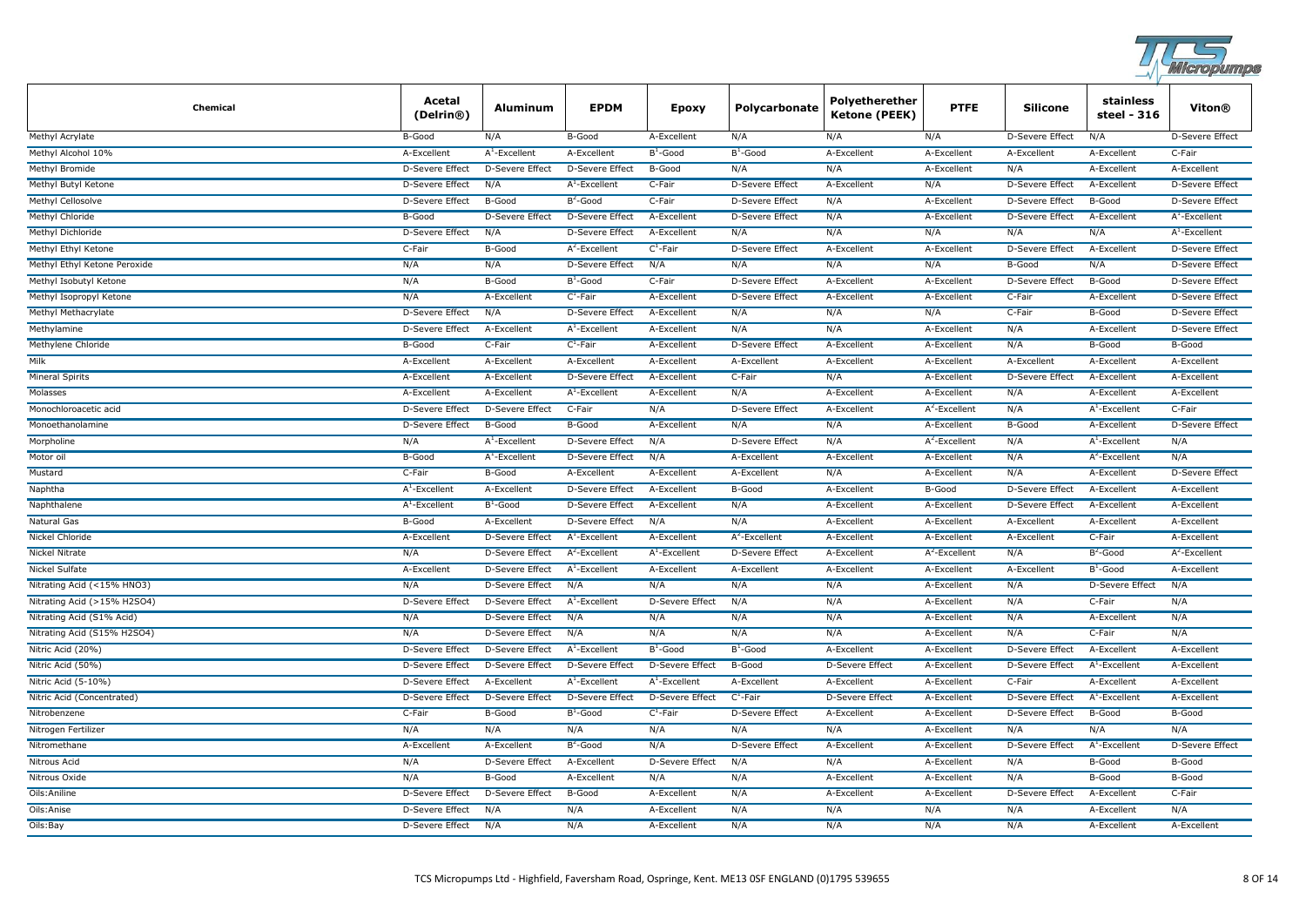

| <b>Chemical</b>              | Acetal<br>(Delrin®)    | <b>Aluminum</b>        | <b>EPDM</b>            | Epoxy                  | Polycarbonate          | Polyetherether<br><b>Ketone (PEEK)</b> | <b>PTFE</b>      | <b>Silicone</b>        | stainless<br>steel - 316 | Viton®                 |
|------------------------------|------------------------|------------------------|------------------------|------------------------|------------------------|----------------------------------------|------------------|------------------------|--------------------------|------------------------|
| Methyl Acrylate              | B-Good                 | N/A                    | B-Good                 | A-Excellent            | N/A                    | N/A                                    | N/A              | D-Severe Effect        | N/A                      | D-Severe Effect        |
| Methyl Alcohol 10%           | A-Excellent            | $A^1$ -Excellent       | A-Excellent            | $B^1$ -Good            | $B^1$ -Good            | A-Excellent                            | A-Excellent      | A-Excellent            | A-Excellent              | C-Fair                 |
| Methyl Bromide               | D-Severe Effect        | D-Severe Effect        | D-Severe Effect        | B-Good                 | N/A                    | N/A                                    | A-Excellent      | N/A                    | A-Excellent              | A-Excellent            |
| Methyl Butyl Ketone          | D-Severe Effect        | N/A                    | $A^1$ -Excellent       | C-Fair                 | D-Severe Effect        | A-Excellent                            | N/A              | <b>D-Severe Effect</b> | A-Excellent              | D-Severe Effect        |
| Methyl Cellosolve            | D-Severe Effect        | B-Good                 | $B^2$ -Good            | C-Fair                 | D-Severe Effect        | N/A                                    | A-Excellent      | D-Severe Effect        | B-Good                   | D-Severe Effect        |
| <b>Methyl Chloride</b>       | B-Good                 | <b>D-Severe Effect</b> | <b>D-Severe Effect</b> | A-Excellent            | D-Severe Effect        | N/A                                    | A-Excellent      | <b>D-Severe Effect</b> | A-Excellent              | $A^1$ -Excellent       |
| Methyl Dichloride            | D-Severe Effect        | N/A                    | D-Severe Effect        | A-Excellent            | N/A                    | N/A                                    | N/A              | N/A                    | N/A                      | $A^1$ -Excellent       |
| Methyl Ethyl Ketone          | C-Fair                 | B-Good                 | $A^2$ -Excellent       | $C^1$ -Fair            | <b>D-Severe Effect</b> | A-Excellent                            | A-Excellent      | <b>D-Severe Effect</b> | A-Excellent              | <b>D-Severe Effect</b> |
| Methyl Ethyl Ketone Peroxide | N/A                    | N/A                    | <b>D-Severe Effect</b> | N/A                    | N/A                    | N/A                                    | N/A              | <b>B-Good</b>          | N/A                      | <b>D-Severe Effect</b> |
| Methyl Isobutyl Ketone       | N/A                    | B-Good                 | $B^1$ -Good            | C-Fair                 | <b>D-Severe Effect</b> | A-Excellent                            | A-Excellent      | D-Severe Effect        | B-Good                   | D-Severe Effect        |
| Methyl Isopropyl Ketone      | N/A                    | A-Excellent            | $C^1$ -Fair            | A-Excellent            | <b>D-Severe Effect</b> | A-Excellent                            | A-Excellent      | C-Fair                 | A-Excellent              | D-Severe Effect        |
| Methyl Methacrylate          | <b>D-Severe Effect</b> | N/A                    | <b>D-Severe Effect</b> | A-Excellent            | N/A                    | N/A                                    | N/A              | C-Fair                 | B-Good                   | D-Severe Effect        |
| Methylamine                  | <b>D-Severe Effect</b> | A-Excellent            | $A^1$ -Excellent       | A-Excellent            | N/A                    | N/A                                    | A-Excellent      | N/A                    | A-Excellent              | <b>D-Severe Effect</b> |
| Methylene Chloride           | B-Good                 | C-Fair                 | $C^1$ -Fair            | A-Excellent            | D-Severe Effect        | A-Excellent                            | A-Excellent      | N/A                    | B-Good                   | B-Good                 |
| Milk                         | A-Excellent            | A-Excellent            | A-Excellent            | A-Excellent            | A-Excellent            | A-Excellent                            | A-Excellent      | A-Excellent            | A-Excellent              | A-Excellent            |
| <b>Mineral Spirits</b>       | A-Excellent            | A-Excellent            | D-Severe Effect        | A-Excellent            | C-Fair                 | N/A                                    | A-Excellent      | <b>D-Severe Effect</b> | A-Excellent              | A-Excellent            |
| Molasses                     | A-Excellent            | A-Excellent            | $A^1$ -Excellent       | A-Excellent            | N/A                    | A-Excellent                            | A-Excellent      | N/A                    | A-Excellent              | A-Excellent            |
| Monochloroacetic acid        | D-Severe Effect        | D-Severe Effect        | C-Fair                 | N/A                    | <b>D-Severe Effect</b> | A-Excellent                            | $A^2$ -Excellent | N/A                    | $A^1$ -Excellent         | C-Fair                 |
| Monoethanolamine             | <b>D-Severe Effect</b> | B-Good                 | B-Good                 | A-Excellent            | N/A                    | N/A                                    | A-Excellent      | <b>B-Good</b>          | A-Excellent              | <b>D-Severe Effect</b> |
| Morpholine                   | N/A                    | $A^1$ -Excellent       | D-Severe Effect        | N/A                    | <b>D-Severe Effect</b> | N/A                                    | $A^2$ -Excellent | N/A                    | $A^1$ -Excellent         | N/A                    |
| Motor oil                    | B-Good                 | $A^1$ -Excellent       | <b>D-Severe Effect</b> | N/A                    | A-Excellent            | A-Excellent                            | A-Excellent      | N/A                    | $A^2$ -Excellent         | N/A                    |
| Mustard                      | C-Fair                 | B-Good                 | A-Excellent            | A-Excellent            | A-Excellent            | N/A                                    | A-Excellent      | N/A                    | A-Excellent              | <b>D-Severe Effect</b> |
| Naphtha                      | $A^1$ -Excellent       | A-Excellent            | D-Severe Effect        | A-Excellent            | B-Good                 | A-Excellent                            | B-Good           | D-Severe Effect        | A-Excellent              | A-Excellent            |
| Naphthalene                  | $A^1$ -Excellent       | $B^1$ -Good            | D-Severe Effect        | A-Excellent            | N/A                    | A-Excellent                            | A-Excellent      | <b>D-Severe Effect</b> | A-Excellent              | A-Excellent            |
| Natural Gas                  | B-Good                 | A-Excellent            | D-Severe Effect        | N/A                    | N/A                    | A-Excellent                            | A-Excellent      | A-Excellent            | A-Excellent              | A-Excellent            |
| Nickel Chloride              | A-Excellent            | D-Severe Effect        | $A^1$ -Excellent       | A-Excellent            | $A^2$ -Excellent       | A-Excellent                            | A-Excellent      | A-Excellent            | C-Fair                   | A-Excellent            |
| Nickel Nitrate               | N/A                    | D-Severe Effect        | $A^2$ -Excellent       | $A^1$ -Excellent       | <b>D-Severe Effect</b> | A-Excellent                            | $A^2$ -Excellent | N/A                    | $B^2$ -Good              | $A^2$ -Excellent       |
| Nickel Sulfate               | A-Excellent            | D-Severe Effect        | $A^1$ -Excellent       | A-Excellent            | A-Excellent            | A-Excellent                            | A-Excellent      | A-Excellent            | $B^1$ -Good              | A-Excellent            |
| Nitrating Acid (<15% HNO3)   | N/A                    | D-Severe Effect        | N/A                    | N/A                    | N/A                    | N/A                                    | A-Excellent      | N/A                    | D-Severe Effect          | N/A                    |
| Nitrating Acid (>15% H2SO4)  | <b>D-Severe Effect</b> | D-Severe Effect        | $A^1$ -Excellent       | <b>D-Severe Effect</b> | N/A                    | N/A                                    | A-Excellent      | N/A                    | C-Fair                   | N/A                    |
| Nitrating Acid (S1% Acid)    | N/A                    | D-Severe Effect        | N/A                    | N/A                    | N/A                    | N/A                                    | A-Excellent      | N/A                    | A-Excellent              | N/A                    |
| Nitrating Acid (S15% H2SO4)  | N/A                    | <b>D-Severe Effect</b> | N/A                    | N/A                    | N/A                    | N/A                                    | A-Excellent      | N/A                    | C-Fair                   | N/A                    |
| Nitric Acid (20%)            | D-Severe Effect        | D-Severe Effect        | $A^1$ -Excellent       | $B^1$ -Good            | $B^1$ -Good            | A-Excellent                            | A-Excellent      | <b>D-Severe Effect</b> | A-Excellent              | A-Excellent            |
| Nitric Acid (50%)            | D-Severe Effect        | D-Severe Effect        | D-Severe Effect        | D-Severe Effect        | B-Good                 | D-Severe Effect                        | A-Excellent      | D-Severe Effect        | $A^1$ -Excellent         | A-Excellent            |
| Nitric Acid (5-10%)          | <b>D-Severe Effect</b> | A-Excellent            | $A^1$ -Excellent       | $A^1$ -Excellent       | A-Excellent            | A-Excellent                            | A-Excellent      | C-Fair                 | A-Excellent              | A-Excellent            |
| Nitric Acid (Concentrated)   | <b>D-Severe Effect</b> | <b>D-Severe Effect</b> | <b>D-Severe Effect</b> | <b>D-Severe Effect</b> | $C^1$ -Fair            | <b>D-Severe Effect</b>                 | A-Excellent      | <b>D-Severe Effect</b> | $A^1$ -Excellent         | A-Excellent            |
| Nitrobenzene                 | C-Fair                 | B-Good                 | $B^1$ -Good            | $C^1$ -Fair            | <b>D-Severe Effect</b> | A-Excellent                            | A-Excellent      | <b>D-Severe Effect</b> | B-Good                   | B-Good                 |
| Nitrogen Fertilizer          | N/A                    | N/A                    | N/A                    | N/A                    | N/A                    | N/A                                    | A-Excellent      | N/A                    | N/A                      | N/A                    |
| Nitromethane                 | A-Excellent            | A-Excellent            | $B^2$ -Good            | N/A                    | <b>D-Severe Effect</b> | A-Excellent                            | A-Excellent      | D-Severe Effect        | $A^1$ -Excellent         | D-Severe Effect        |
| Nitrous Acid                 | N/A                    | D-Severe Effect        | A-Excellent            | D-Severe Effect        | N/A                    | N/A                                    | A-Excellent      | N/A                    | B-Good                   | B-Good                 |
| Nitrous Oxide                | N/A                    | B-Good                 | A-Excellent            | N/A                    | N/A                    | A-Excellent                            | A-Excellent      | N/A                    | B-Good                   | B-Good                 |
| Oils: Aniline                | D-Severe Effect        | <b>D-Severe Effect</b> | B-Good                 | A-Excellent            | N/A                    | A-Excellent                            | A-Excellent      | D-Severe Effect        | A-Excellent              | C-Fair                 |
| Oils: Anise                  | <b>D-Severe Effect</b> | N/A                    | N/A                    | A-Excellent            | N/A                    | N/A                                    | N/A              | N/A                    | A-Excellent              | N/A                    |
| Oils:Bay                     | D-Severe Effect        | N/A                    | N/A                    | A-Excellent            | N/A                    | N/A                                    | N/A              | N/A                    | A-Excellent              | A-Excellent            |
|                              |                        |                        |                        |                        |                        |                                        |                  |                        |                          |                        |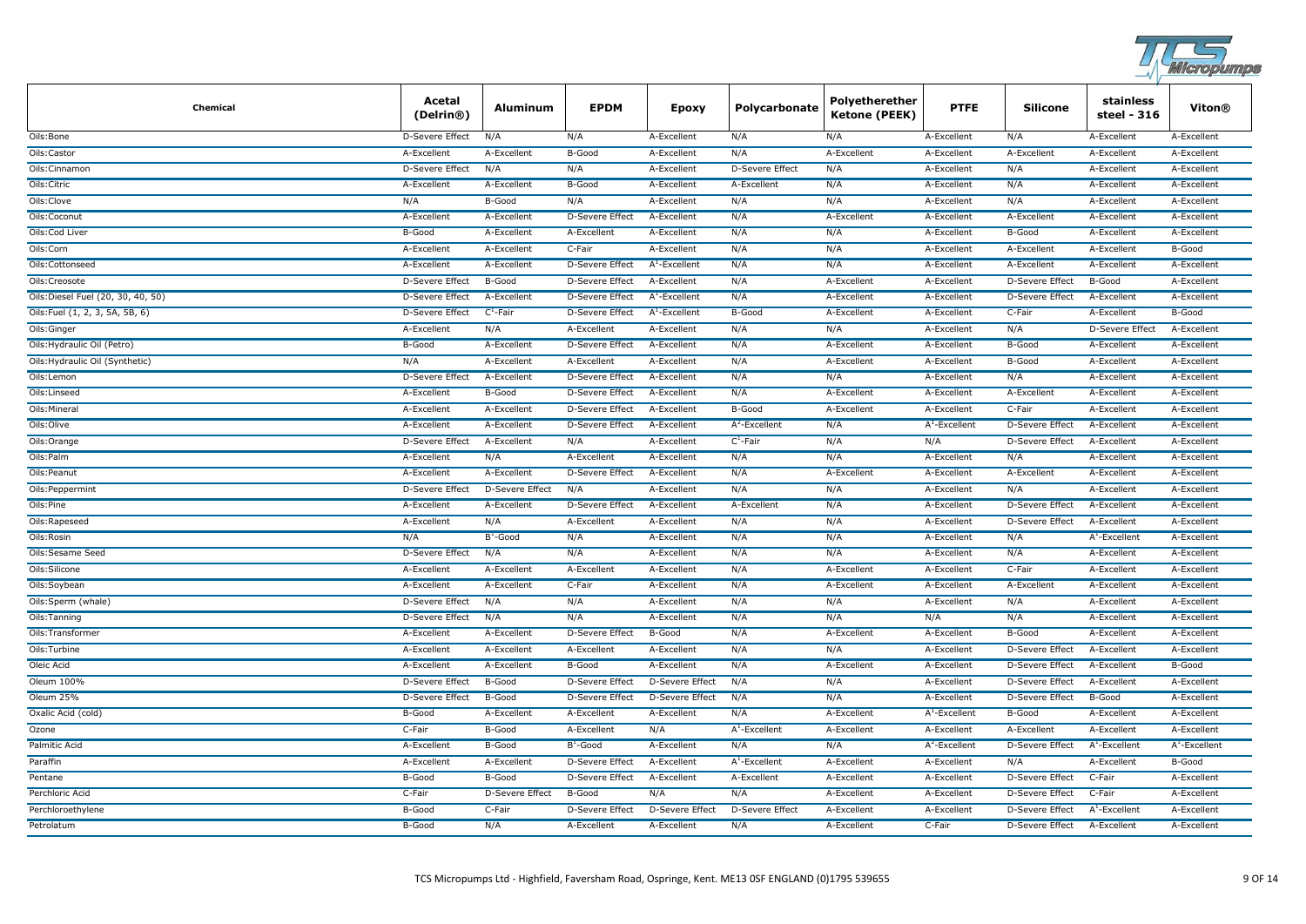

| Chemical                           | Acetal<br>(Delrin@)    | Aluminum               | <b>EPDM</b>            | Epoxy                  | Polycarbonate          | Polyetherether<br><b>Ketone (PEEK)</b> | <b>PTFE</b>      | <b>Silicone</b>        | stainless<br>steel - 316 | Viton®           |
|------------------------------------|------------------------|------------------------|------------------------|------------------------|------------------------|----------------------------------------|------------------|------------------------|--------------------------|------------------|
| Oils:Bone                          | D-Severe Effect        | N/A                    | N/A                    | A-Excellent            | N/A                    | N/A                                    | A-Excellent      | N/A                    | A-Excellent              | A-Excellent      |
| Oils:Castor                        | A-Excellent            | A-Excellent            | B-Good                 | A-Excellent            | N/A                    | A-Excellent                            | A-Excellent      | A-Excellent            | A-Excellent              | A-Excellent      |
| Oils:Cinnamon                      | D-Severe Effect        | N/A                    | N/A                    | A-Excellent            | D-Severe Effect        | N/A                                    | A-Excellent      | N/A                    | A-Excellent              | A-Excellent      |
| Oils: Citric                       | A-Excellent            | A-Excellent            | B-Good                 | A-Excellent            | A-Excellent            | N/A                                    | A-Excellent      | N/A                    | A-Excellent              | A-Excellent      |
| Oils:Clove                         | N/A                    | B-Good                 | N/A                    | A-Excellent            | N/A                    | N/A                                    | A-Excellent      | N/A                    | A-Excellent              | A-Excellent      |
| Oils:Coconut                       | A-Excellent            | A-Excellent            | <b>D-Severe Effect</b> | A-Excellent            | N/A                    | A-Excellent                            | A-Excellent      | A-Excellent            | A-Excellent              | A-Excellent      |
| Oils:Cod Liver                     | B-Good                 | A-Excellent            | A-Excellent            | A-Excellent            | N/A                    | N/A                                    | A-Excellent      | B-Good                 | A-Excellent              | A-Excellent      |
| Oils:Corn                          | A-Excellent            | A-Excellent            | C-Fair                 | A-Excellent            | N/A                    | N/A                                    | A-Excellent      | A-Excellent            | A-Excellent              | B-Good           |
| Oils:Cottonseed                    | A-Excellent            | A-Excellent            | <b>D-Severe Effect</b> | $A^1$ -Excellent       | N/A                    | N/A                                    | A-Excellent      | A-Excellent            | A-Excellent              | A-Excellent      |
| Oils:Creosote                      | <b>D-Severe Effect</b> | B-Good                 | D-Severe Effect        | A-Excellent            | N/A                    | A-Excellent                            | A-Excellent      | <b>D-Severe Effect</b> | B-Good                   | A-Excellent      |
| Oils: Diesel Fuel (20, 30, 40, 50) | D-Severe Effect        | A-Excellent            | <b>D-Severe Effect</b> | $A^1$ -Excellent       | N/A                    | A-Excellent                            | A-Excellent      | <b>D-Severe Effect</b> | A-Excellent              | A-Excellent      |
| Oils:Fuel (1, 2, 3, 5A, 5B, 6)     | <b>D-Severe Effect</b> | $C^1$ -Fair            | <b>D-Severe Effect</b> | $A^1$ -Excellent       | B-Good                 | A-Excellent                            | A-Excellent      | C-Fair                 | A-Excellent              | B-Good           |
| Oils: Ginger                       | A-Excellent            | N/A                    | A-Excellent            | A-Excellent            | N/A                    | N/A                                    | A-Excellent      | N/A                    | D-Severe Effect          | A-Excellent      |
| Oils: Hydraulic Oil (Petro)        | B-Good                 | A-Excellent            | D-Severe Effect        | A-Excellent            | N/A                    | A-Excellent                            | A-Excellent      | B-Good                 | A-Excellent              | A-Excellent      |
| Oils: Hydraulic Oil (Synthetic)    | N/A                    | A-Excellent            | A-Excellent            | A-Excellent            | N/A                    | A-Excellent                            | A-Excellent      | B-Good                 | A-Excellent              | A-Excellent      |
| Oils:Lemon                         | D-Severe Effect        | A-Excellent            | D-Severe Effect        | A-Excellent            | N/A                    | N/A                                    | A-Excellent      | N/A                    | A-Excellent              | A-Excellent      |
| Oils: Linseed                      | A-Excellent            | B-Good                 | D-Severe Effect        | A-Excellent            | N/A                    | A-Excellent                            | A-Excellent      | A-Excellent            | A-Excellent              | A-Excellent      |
| Oils: Mineral                      | A-Excellent            | A-Excellent            | D-Severe Effect        | A-Excellent            | B-Good                 | A-Excellent                            | A-Excellent      | C-Fair                 | A-Excellent              | A-Excellent      |
| Oils:Olive                         | A-Excellent            | A-Excellent            | D-Severe Effect        | A-Excellent            | $A^2$ -Excellent       | N/A                                    | $A^1$ -Excellent | <b>D-Severe Effect</b> | A-Excellent              | A-Excellent      |
| Oils: Orange                       | D-Severe Effect        | A-Excellent            | N/A                    | A-Excellent            | $C^1$ -Fair            | N/A                                    | N/A              | <b>D-Severe Effect</b> | A-Excellent              | A-Excellent      |
| Oils:Palm                          | A-Excellent            | N/A                    | A-Excellent            | A-Excellent            | N/A                    | N/A                                    | A-Excellent      | N/A                    | A-Excellent              | A-Excellent      |
| Oils: Peanut                       | A-Excellent            | A-Excellent            | <b>D-Severe Effect</b> | A-Excellent            | N/A                    | A-Excellent                            | A-Excellent      | A-Excellent            | A-Excellent              | A-Excellent      |
| Oils: Peppermint                   | <b>D-Severe Effect</b> | <b>D-Severe Effect</b> | N/A                    | A-Excellent            | N/A                    | N/A                                    | A-Excellent      | N/A                    | A-Excellent              | A-Excellent      |
| Oils:Pine                          | A-Excellent            | A-Excellent            | D-Severe Effect        | A-Excellent            | A-Excellent            | N/A                                    | A-Excellent      | <b>D-Severe Effect</b> | A-Excellent              | A-Excellent      |
| Oils:Rapeseed                      | A-Excellent            | N/A                    | A-Excellent            | A-Excellent            | N/A                    | N/A                                    | A-Excellent      | <b>D-Severe Effect</b> | A-Excellent              | A-Excellent      |
| Oils:Rosin                         | N/A                    | $B^1$ -Good            | N/A                    | A-Excellent            | N/A                    | N/A                                    | A-Excellent      | N/A                    | $A^1$ -Excellent         | A-Excellent      |
| Oils:Sesame Seed                   | D-Severe Effect        | N/A                    | N/A                    | A-Excellent            | N/A                    | N/A                                    | A-Excellent      | N/A                    | A-Excellent              | A-Excellent      |
| Oils: Silicone                     | A-Excellent            | A-Excellent            | A-Excellent            | A-Excellent            | N/A                    | A-Excellent                            | A-Excellent      | C-Fair                 | A-Excellent              | A-Excellent      |
| Oils:Soybean                       | A-Excellent            | A-Excellent            | C-Fair                 | A-Excellent            | N/A                    | A-Excellent                            | A-Excellent      | A-Excellent            | A-Excellent              | A-Excellent      |
| Oils:Sperm (whale)                 | D-Severe Effect        | N/A                    | N/A                    | A-Excellent            | N/A                    | N/A                                    | A-Excellent      | N/A                    | A-Excellent              | A-Excellent      |
| Oils:Tanning                       | D-Severe Effect        | N/A                    | N/A                    | A-Excellent            | N/A                    | N/A                                    | N/A              | N/A                    | A-Excellent              | A-Excellent      |
| Oils:Transformer                   | A-Excellent            | A-Excellent            | <b>D-Severe Effect</b> | B-Good                 | N/A                    | A-Excellent                            | A-Excellent      | B-Good                 | A-Excellent              | A-Excellent      |
| Oils:Turbine                       | A-Excellent            | A-Excellent            | A-Excellent            | A-Excellent            | N/A                    | N/A                                    | A-Excellent      | <b>D-Severe Effect</b> | A-Excellent              | A-Excellent      |
| Oleic Acid                         | A-Excellent            | A-Excellent            | B-Good                 | A-Excellent            | N/A                    | A-Excellent                            | A-Excellent      | <b>D-Severe Effect</b> | A-Excellent              | B-Good           |
| Oleum 100%                         | <b>D-Severe Effect</b> | B-Good                 | <b>D-Severe Effect</b> | <b>D-Severe Effect</b> | N/A                    | N/A                                    | A-Excellent      | <b>D-Severe Effect</b> | A-Excellent              | A-Excellent      |
| Oleum 25%                          | <b>D-Severe Effect</b> | B-Good                 | <b>D-Severe Effect</b> | <b>D-Severe Effect</b> | N/A                    | N/A                                    | A-Excellent      | <b>D-Severe Effect</b> | B-Good                   | A-Excellent      |
| Oxalic Acid (cold)                 | B-Good                 | A-Excellent            | A-Excellent            | A-Excellent            | N/A                    | A-Excellent                            | $A^1$ -Excellent | <b>B-Good</b>          | A-Excellent              | A-Excellent      |
| Ozone                              | C-Fair                 | B-Good                 | A-Excellent            | N/A                    | $A^1$ -Excellent       | A-Excellent                            | A-Excellent      | A-Excellent            | A-Excellent              | A-Excellent      |
| Palmitic Acid                      | A-Excellent            | B-Good                 | $B^1$ -Good            | A-Excellent            | N/A                    | N/A                                    | $A^2$ -Excellent | D-Severe Effect        | $A^1$ -Excellent         | $A^1$ -Excellent |
| Paraffin                           | A-Excellent            | A-Excellent            | D-Severe Effect        | A-Excellent            | $A^1$ -Excellent       | A-Excellent                            | A-Excellent      | N/A                    | A-Excellent              | B-Good           |
| Pentane                            | B-Good                 | B-Good                 | D-Severe Effect        | A-Excellent            | A-Excellent            | A-Excellent                            | A-Excellent      | <b>D-Severe Effect</b> | C-Fair                   | A-Excellent      |
| Perchloric Acid                    | C-Fair                 | D-Severe Effect        | B-Good                 | N/A                    | N/A                    | A-Excellent                            | A-Excellent      | <b>D-Severe Effect</b> | C-Fair                   | A-Excellent      |
| Perchloroethylene                  | B-Good                 | C-Fair                 | D-Severe Effect        | <b>D-Severe Effect</b> | <b>D-Severe Effect</b> | A-Excellent                            | A-Excellent      | <b>D-Severe Effect</b> | $A^1$ -Excellent         | A-Excellent      |
| Petrolatum                         | B-Good                 | N/A                    | A-Excellent            | A-Excellent            | N/A                    | A-Excellent                            | C-Fair           | <b>D-Severe Effect</b> | A-Excellent              | A-Excellent      |
|                                    |                        |                        |                        |                        |                        |                                        |                  |                        |                          |                  |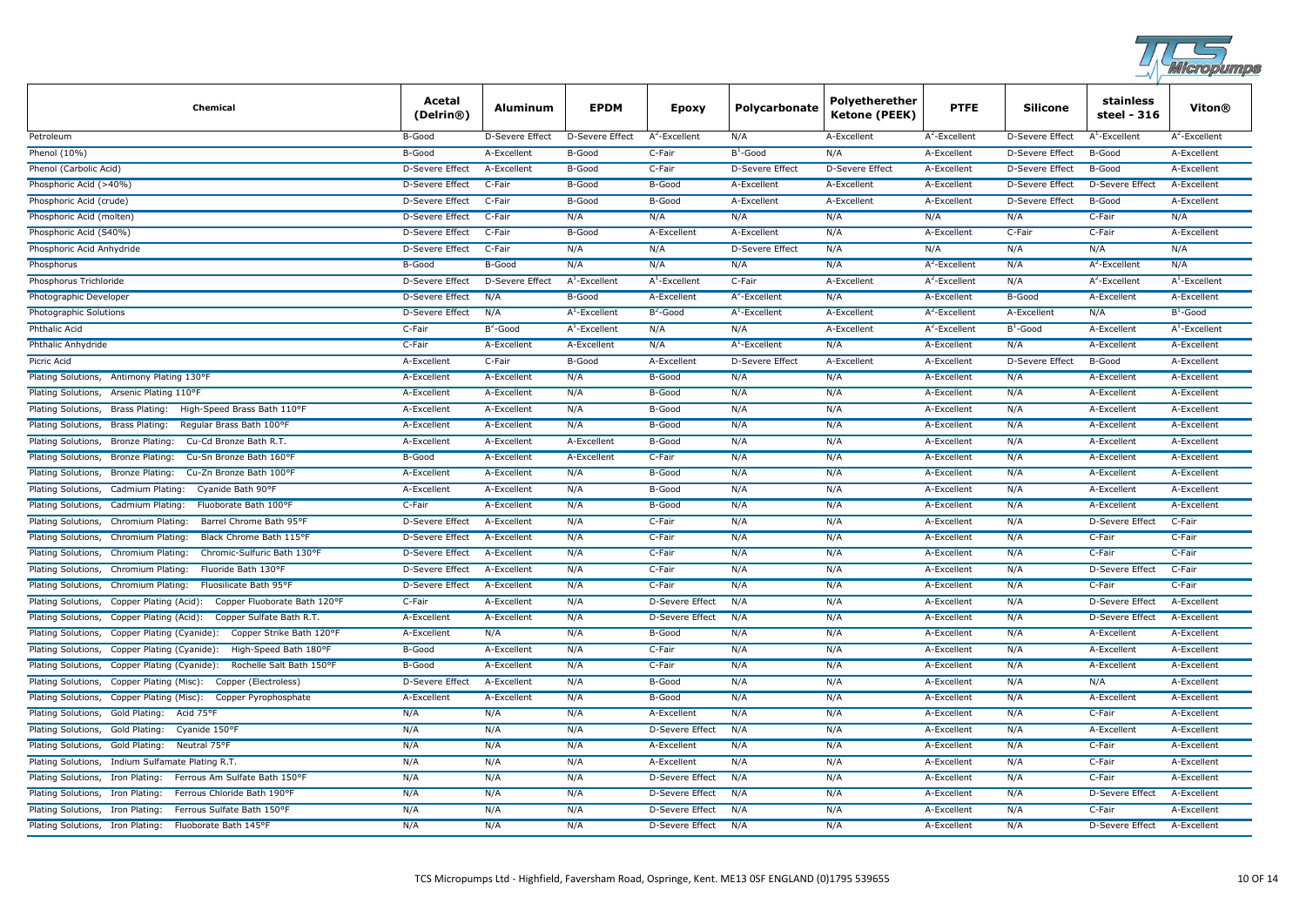

| Chemical                                                                     | Acetal<br>(Delrin <sup>®</sup> ) | Aluminum        | <b>EPDM</b>      | <b>Epoxy</b>           | Polycarbonate          | Polyetherether<br>Ketone (PEEK) | <b>PTFE</b>      | <b>Silicone</b>        | stainless<br>steel - 316 | Viton®           |
|------------------------------------------------------------------------------|----------------------------------|-----------------|------------------|------------------------|------------------------|---------------------------------|------------------|------------------------|--------------------------|------------------|
| Petroleum                                                                    | B-Good                           | D-Severe Effect | D-Severe Effect  | $A^2$ -Excellent       | N/A                    | A-Excellent                     | $A^2$ -Excellent | D-Severe Effect        | $A^1$ -Excellent         | $A^2$ -Excellent |
| Phenol (10%)                                                                 | B-Good                           | A-Excellent     | B-Good           | C-Fair                 | $B^1$ -Good            | N/A                             | A-Excellent      | D-Severe Effect        | B-Good                   | A-Excellent      |
| Phenol (Carbolic Acid)                                                       | D-Severe Effect                  | A-Excellent     | B-Good           | C-Fair                 | D-Severe Effect        | D-Severe Effect                 | A-Excellent      | D-Severe Effect        | B-Good                   | A-Excellent      |
| Phosphoric Acid (>40%)                                                       | D-Severe Effect                  | C-Fair          | B-Good           | B-Good                 | A-Excellent            | A-Excellent                     | A-Excellent      | <b>D-Severe Effect</b> | <b>D-Severe Effect</b>   | A-Excellent      |
| Phosphoric Acid (crude)                                                      | <b>D-Severe Effect</b>           | C-Fair          | B-Good           | B-Good                 | A-Excellent            | A-Excellent                     | A-Excellent      | D-Severe Effect        | B-Good                   | A-Excellent      |
| Phosphoric Acid (molten)                                                     | <b>D-Severe Effect</b>           | C-Fair          | N/A              | N/A                    | N/A                    | N/A                             | N/A              | N/A                    | C-Fair                   | N/A              |
| Phosphoric Acid (S40%)                                                       | <b>D-Severe Effect</b>           | C-Fair          | B-Good           | A-Excellent            | A-Excellent            | N/A                             | A-Excellent      | C-Fair                 | C-Fair                   | A-Excellent      |
| Phosphoric Acid Anhydride                                                    | <b>D-Severe Effect</b>           | C-Fair          | N/A              | N/A                    | <b>D-Severe Effect</b> | N/A                             | N/A              | N/A                    | N/A                      | N/A              |
| Phosphorus                                                                   | B-Good                           | B-Good          | N/A              | N/A                    | N/A                    | N/A                             | $A^2$ -Excellent | N/A                    | $A^2$ -Excellent         | N/A              |
| Phosphorus Trichloride                                                       | D-Severe Effect                  | D-Severe Effect | $A^1$ -Excellent | $A^1$ -Excellent       | C-Fair                 | A-Excellent                     | $A^2$ -Excellent | N/A                    | $A^2$ -Excellent         | $A^1$ -Excellent |
| Photographic Developer                                                       | <b>D-Severe Effect</b>           | N/A             | B-Good           | A-Excellent            | $A^2$ -Excellent       | N/A                             | A-Excellent      | B-Good                 | A-Excellent              | A-Excellent      |
| Photographic Solutions                                                       | D-Severe Effect                  | N/A             | $A^1$ -Excellent | $B^2$ -Good            | $A^1$ -Excellent       | A-Excellent                     | $A^2$ -Excellent | A-Excellent            | N/A                      | $B^1$ -Good      |
| Phthalic Acid                                                                | C-Fair                           | $B^2$ -Good     | $A^1$ -Excellent | N/A                    | N/A                    | A-Excellent                     | $A^2$ -Excellent | $B^1$ -Good            | A-Excellent              | $A^1$ -Excellent |
| Phthalic Anhydride                                                           | C-Fair                           | A-Excellent     | A-Excellent      | N/A                    | $A^1$ -Excellent       | N/A                             | A-Excellent      | N/A                    | A-Excellent              | A-Excellent      |
| Picric Acid                                                                  | A-Excellent                      | C-Fair          | B-Good           | A-Excellent            | <b>D-Severe Effect</b> | A-Excellent                     | A-Excellent      | <b>D-Severe Effect</b> | B-Good                   | A-Excellent      |
| Antimony Plating 130°F<br>Plating Solutions,                                 | A-Excellent                      | A-Excellent     | N/A              | B-Good                 | N/A                    | N/A                             | A-Excellent      | N/A                    | A-Excellent              | A-Excellent      |
| Arsenic Plating 110°F<br>Plating Solutions,                                  | A-Excellent                      | A-Excellent     | N/A              | B-Good                 | N/A                    | N/A                             | A-Excellent      | N/A                    | A-Excellent              | A-Excellent      |
| High-Speed Brass Bath 110°F<br>Plating Solutions,<br><b>Brass Plating:</b>   | A-Excellent                      | A-Excellent     | N/A              | B-Good                 | N/A                    | N/A                             | A-Excellent      | N/A                    | A-Excellent              | A-Excellent      |
| Plating Solutions,<br>Regular Brass Bath 100°F<br>Brass Plating:             | A-Excellent                      | A-Excellent     | N/A              | B-Good                 | N/A                    | N/A                             | A-Excellent      | N/A                    | A-Excellent              | A-Excellent      |
| Plating Solutions,<br>Cu-Cd Bronze Bath R.T<br>Bronze Plating:               | A-Excellent                      | A-Excellent     | A-Excellent      | B-Good                 | N/A                    | N/A                             | A-Excellent      | N/A                    | A-Excellent              | A-Excellent      |
| Cu-Sn Bronze Bath 160°F<br>Plating Solutions,<br><b>Bronze Plating:</b>      | B-Good                           | A-Excellent     | A-Excellent      | C-Fair                 | N/A                    | N/A                             | A-Excellent      | N/A                    | A-Excellent              | A-Excellent      |
| Cu-Zn Bronze Bath 100°F<br>Plating Solutions,<br>Bronze Plating:             | A-Excellent                      | A-Excellent     | N/A              | B-Good                 | N/A                    | N/A                             | A-Excellent      | N/A                    | A-Excellent              | A-Excellent      |
| Cadmium Plating:<br>Cyanide Bath 90°F<br>Plating Solutions,                  | A-Excellent                      | A-Excellent     | N/A              | B-Good                 | N/A                    | N/A                             | A-Excellent      | N/A                    | A-Excellent              | A-Excellent      |
| Plating Solutions,<br>Cadmium Plating:<br>Fluoborate Bath 100°F              | C-Fair                           | A-Excellent     | N/A              | B-Good                 | N/A                    | N/A                             | A-Excellent      | N/A                    | A-Excellent              | A-Excellent      |
| Plating Solutions,<br>Chromium Plating:<br>Barrel Chrome Bath 95°F           | <b>D-Severe Effect</b>           | A-Excellent     | N/A              | C-Fair                 | N/A                    | N/A                             | A-Excellent      | N/A                    | <b>D-Severe Effect</b>   | C-Fair           |
| Black Chrome Bath 115°F<br>Plating Solutions,<br>Chromium Plating:           | <b>D-Severe Effect</b>           | A-Excellent     | N/A              | C-Fair                 | N/A                    | N/A                             | A-Excellent      | N/A                    | C-Fair                   | C-Fair           |
| Plating Solutions,<br>Chromium Plating:<br>Chromic-Sulfuric Bath 130°F       | <b>D-Severe Effect</b>           | A-Excellent     | N/A              | C-Fair                 | N/A                    | N/A                             | A-Excellent      | N/A                    | C-Fair                   | C-Fair           |
| Fluoride Bath 130°F<br>Plating Solutions,<br>Chromium Plating:               | <b>D-Severe Effect</b>           | A-Excellent     | N/A              | C-Fair                 | N/A                    | N/A                             | A-Excellent      | N/A                    | <b>D-Severe Effect</b>   | C-Fair           |
| Fluosilicate Bath 95°F<br>Plating Solutions,<br>Chromium Plating:            | D-Severe Effect                  | A-Excellent     | N/A              | C-Fair                 | N/A                    | N/A                             | A-Excellent      | N/A                    | C-Fair                   | C-Fair           |
| Plating Solutions,<br>Copper Fluoborate Bath 120°F<br>Copper Plating (Acid): | C-Fair                           | A-Excellent     | N/A              | D-Severe Effect        | N/A                    | N/A                             | A-Excellent      | N/A                    | D-Severe Effect          | A-Excellent      |
| Copper Sulfate Bath R.T.<br>Plating Solutions,<br>Copper Plating (Acid):     | A-Excellent                      | A-Excellent     | N/A              | D-Severe Effect        | N/A                    | N/A                             | A-Excellent      | N/A                    | D-Severe Effect          | A-Excellent      |
| Plating Solutions,<br>Copper Strike Bath 120°F<br>Copper Plating (Cyanide):  | A-Excellent                      | N/A             | N/A              | B-Good                 | N/A                    | N/A                             | A-Excellent      | N/A                    | A-Excellent              | A-Excellent      |
| Plating Solutions,<br>Copper Plating (Cyanide):<br>High-Speed Bath 180°F     | B-Good                           | A-Excellent     | N/A              | C-Fair                 | N/A                    | N/A                             | A-Excellent      | N/A                    | A-Excellent              | A-Excellent      |
| Rochelle Salt Bath 150°F<br>Plating Solutions,<br>Copper Plating (Cyanide):  | B-Good                           | A-Excellent     | N/A              | C-Fair                 | N/A                    | N/A                             | A-Excellent      | N/A                    | A-Excellent              | A-Excellent      |
| Plating Solutions,<br>Copper Plating (Misc):<br>Copper (Electroless)         | <b>D-Severe Effect</b>           | A-Excellent     | N/A              | B-Good                 | N/A                    | N/A                             | A-Excellent      | N/A                    | N/A                      | A-Excellent      |
| Plating Solutions,<br>Copper Plating (Misc):<br>Copper Pyrophosphate         | A-Excellent                      | A-Excellent     | N/A              | B-Good                 | N/A                    | N/A                             | A-Excellent      | N/A                    | A-Excellent              | A-Excellent      |
| Plating Solutions,<br>Gold Plating:<br>Acid 75°F                             | N/A                              | N/A             | N/A              | A-Excellent            | N/A                    | N/A                             | A-Excellent      | N/A                    | C-Fair                   | A-Excellent      |
| Plating Solutions,<br>Gold Plating:<br>Cyanide 150°F                         | N/A                              | N/A             | N/A              | <b>D-Severe Effect</b> | N/A                    | N/A                             | A-Excellent      | N/A                    | A-Excellent              | A-Excellent      |
| Plating Solutions,<br>Gold Plating:<br>Neutral 75°F                          | N/A                              | N/A             | N/A              | A-Excellent            | N/A                    | N/A                             | A-Excellent      | N/A                    | C-Fair                   | A-Excellent      |
| Indium Sulfamate Plating R.T.<br>Plating Solutions,                          | N/A                              | N/A             | N/A              | A-Excellent            | N/A                    | N/A                             | A-Excellent      | N/A                    | C-Fair                   | A-Excellent      |
| Iron Plating:<br>Ferrous Am Sulfate Bath 150°F<br>Plating Solutions,         | N/A                              | N/A             | N/A              | <b>D-Severe Effect</b> | N/A                    | N/A                             | A-Excellent      | N/A                    | C-Fair                   | A-Excellent      |
| Ferrous Chloride Bath 190°F<br>Plating Solutions,<br>Iron Plating:           | N/A                              | N/A             | N/A              | D-Severe Effect        | N/A                    | N/A                             | A-Excellent      | N/A                    | D-Severe Effect          | A-Excellent      |
| Ferrous Sulfate Bath 150°F<br>Plating Solutions,<br>Iron Plating:            | N/A                              | N/A             | N/A              | D-Severe Effect        | N/A                    | N/A                             | A-Excellent      | N/A                    | C-Fair                   | A-Excellent      |
| Plating Solutions, Iron Plating:<br>Fluoborate Bath 145°F                    | N/A                              | N/A             | N/A              | <b>D-Severe Effect</b> | N/A                    | N/A                             | A-Excellent      | N/A                    | <b>D-Severe Effect</b>   | A-Excellent      |
|                                                                              |                                  |                 |                  |                        |                        |                                 |                  |                        |                          |                  |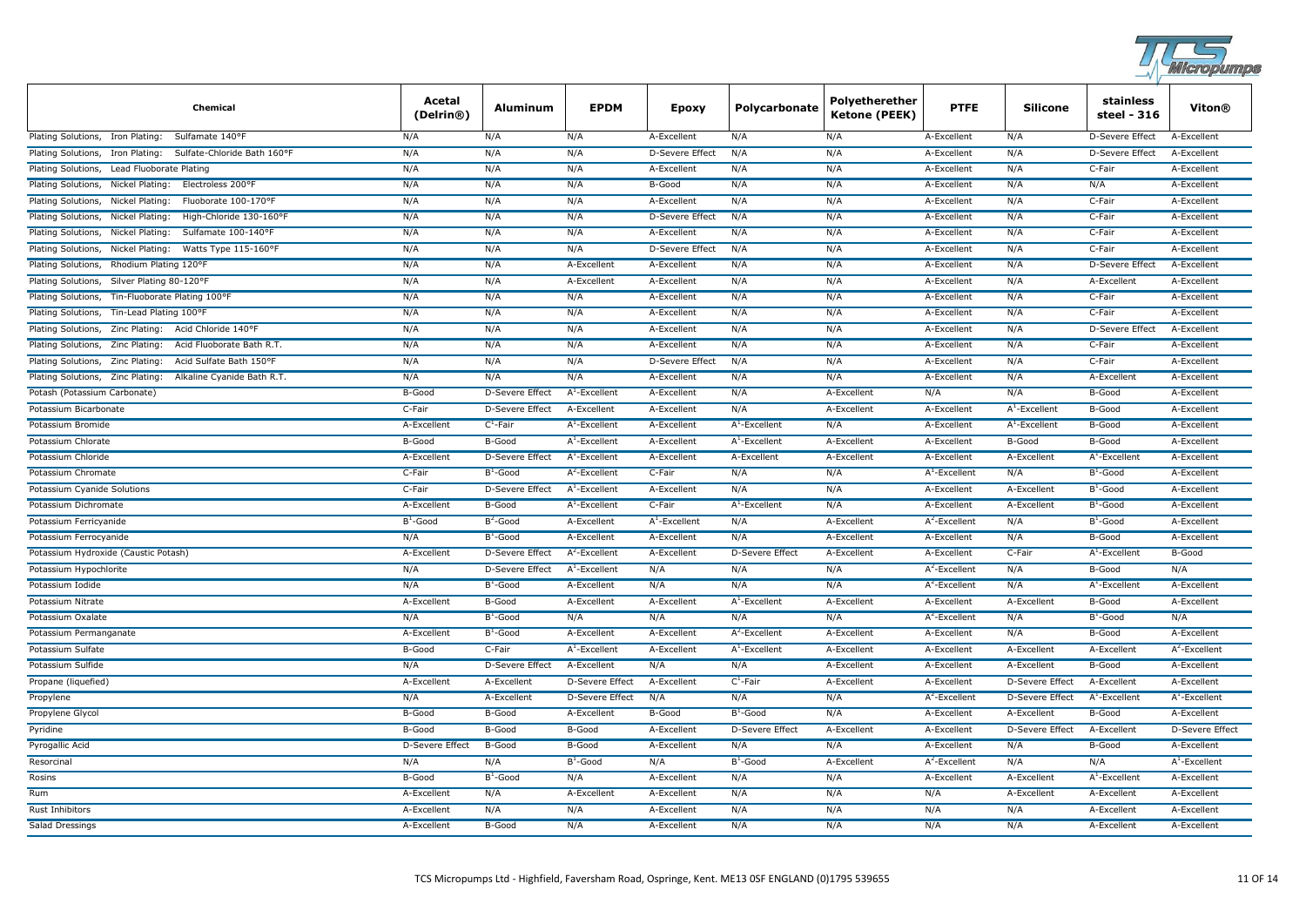

| Chemical                                                         | Acetal<br>(Delrin®)    | Aluminum               | <b>EPDM</b>            | <b>Epoxy</b>           | Polycarbonate    | Polyetherether<br><b>Ketone (PEEK)</b> | <b>PTFE</b>      | Silicone               | stainless<br>steel - 316 | <b>Viton®</b>    |
|------------------------------------------------------------------|------------------------|------------------------|------------------------|------------------------|------------------|----------------------------------------|------------------|------------------------|--------------------------|------------------|
| Plating Solutions, Iron Plating:<br>Sulfamate 140°F              | N/A                    | N/A                    | N/A                    | A-Excellent            | N/A              | N/A                                    | A-Excellent      | N/A                    | D-Severe Effect          | A-Excellent      |
| Plating Solutions, Iron Plating:<br>Sulfate-Chloride Bath 160°F  | N/A                    | N/A                    | N/A                    | <b>D-Severe Effect</b> | N/A              | N/A                                    | A-Excellent      | N/A                    | <b>D-Severe Effect</b>   | A-Excellent      |
| Plating Solutions, Lead Fluoborate Plating                       | N/A                    | N/A                    | N/A                    | A-Excellent            | N/A              | N/A                                    | A-Excellent      | N/A                    | C-Fair                   | A-Excellent      |
| Plating Solutions, Nickel Plating:<br>Electroless 200°F          | N/A                    | N/A                    | N/A                    | B-Good                 | N/A              | N/A                                    | A-Excellent      | N/A                    | N/A                      | A-Excellent      |
| Fluoborate 100-170°F<br>Plating Solutions,<br>Nickel Plating:    | N/A                    | N/A                    | N/A                    | A-Excellent            | N/A              | N/A                                    | A-Excellent      | N/A                    | C-Fair                   | A-Excellent      |
| Plating Solutions,<br>Nickel Plating:<br>High-Chloride 130-160°F | N/A                    | N/A                    | N/A                    | <b>D-Severe Effect</b> | N/A              | N/A                                    | A-Excellent      | N/A                    | C-Fair                   | A-Excellent      |
| Plating Solutions,<br>Nickel Plating:<br>Sulfamate 100-140°F     | N/A                    | N/A                    | N/A                    | A-Excellent            | N/A              | N/A                                    | A-Excellent      | N/A                    | C-Fair                   | A-Excellent      |
| Plating Solutions, Nickel Plating:<br>Watts Type 115-160°F       | N/A                    | N/A                    | N/A                    | <b>D-Severe Effect</b> | N/A              | N/A                                    | A-Excellent      | N/A                    | C-Fair                   | A-Excellent      |
| Plating Solutions, Rhodium Plating 120°F                         | N/A                    | N/A                    | A-Excellent            | A-Excellent            | N/A              | N/A                                    | A-Excellent      | N/A                    | <b>D-Severe Effect</b>   | A-Excellent      |
| Plating Solutions, Silver Plating 80-120°F                       | N/A                    | N/A                    | A-Excellent            | A-Excellent            | N/A              | N/A                                    | A-Excellent      | N/A                    | A-Excellent              | A-Excellent      |
| Plating Solutions, Tin-Fluoborate Plating 100°F                  | N/A                    | N/A                    | N/A                    | A-Excellent            | N/A              | N/A                                    | A-Excellent      | N/A                    | C-Fair                   | A-Excellent      |
| Plating Solutions, Tin-Lead Plating 100°F                        | N/A                    | N/A                    | N/A                    | A-Excellent            | N/A              | N/A                                    | A-Excellent      | N/A                    | C-Fair                   | A-Excellent      |
| Plating Solutions, Zinc Plating:<br>Acid Chloride 140°F          | N/A                    | N/A                    | N/A                    | A-Excellent            | N/A              | N/A                                    | A-Excellent      | N/A                    | D-Severe Effect          | A-Excellent      |
| Zinc Plating:<br>Acid Fluoborate Bath R.T.<br>Plating Solutions, | N/A                    | N/A                    | N/A                    | A-Excellent            | N/A              | N/A                                    | A-Excellent      | N/A                    | C-Fair                   | A-Excellent      |
| Plating Solutions, Zinc Plating:<br>Acid Sulfate Bath 150°F      | N/A                    | N/A                    | N/A                    | D-Severe Effect        | N/A              | N/A                                    | A-Excellent      | N/A                    | C-Fair                   | A-Excellent      |
| Plating Solutions, Zinc Plating:<br>Alkaline Cyanide Bath R.T.   | N/A                    | N/A                    | N/A                    | A-Excellent            | N/A              | N/A                                    | A-Excellent      | N/A                    | A-Excellent              | A-Excellent      |
| Potash (Potassium Carbonate)                                     | B-Good                 | D-Severe Effect        | $A^1$ -Excellent       | A-Excellent            | N/A              | A-Excellent                            | N/A              | N/A                    | B-Good                   | A-Excellent      |
| Potassium Bicarbonate                                            | C-Fair                 | <b>D-Severe Effect</b> | A-Excellent            | A-Excellent            | N/A              | A-Excellent                            | A-Excellent      | $A^1$ -Excellent       | B-Good                   | A-Excellent      |
| Potassium Bromide                                                | A-Excellent            | $C^1$ -Fair            | $A^1$ -Excellent       | A-Excellent            | $A^1$ -Excellent | N/A                                    | A-Excellent      | $A^1$ -Excellent       | B-Good                   | A-Excellent      |
| Potassium Chlorate                                               | B-Good                 | B-Good                 | $A^1$ -Excellent       | A-Excellent            | $A^1$ -Excellent | A-Excellent                            | A-Excellent      | B-Good                 | B-Good                   | A-Excellent      |
| Potassium Chloride                                               | A-Excellent            | <b>D-Severe Effect</b> | $A^1$ -Excellent       | A-Excellent            | A-Excellent      | A-Excellent                            | A-Excellent      | A-Excellent            | $A1$ -Excellent          | A-Excellent      |
| Potassium Chromate                                               | C-Fair                 | $B^1$ -Good            | $A^2$ -Excellent       | C-Fair                 | N/A              | N/A                                    | $A^1$ -Excellent | N/A                    | $B^1$ -Good              | A-Excellent      |
| Potassium Cyanide Solutions                                      | C-Fair                 | <b>D-Severe Effect</b> | $A^1$ -Excellent       | A-Excellent            | N/A              | N/A                                    | A-Excellent      | A-Excellent            | $B^1$ -Good              | A-Excellent      |
| Potassium Dichromate                                             | A-Excellent            | B-Good                 | $A^1$ -Excellent       | C-Fair                 | $A^1$ -Excellent | N/A                                    | A-Excellent      | A-Excellent            | $B^1$ -Good              | A-Excellent      |
| Potassium Ferricyanide                                           | $B^1$ -Good            | $B^2$ -Good            | A-Excellent            | $A^1$ -Excellent       | N/A              | A-Excellent                            | $A^2$ -Excellent | N/A                    | $B^1$ -Good              | A-Excellent      |
| Potassium Ferrocyanide                                           | N/A                    | $B^1$ -Good            | A-Excellent            | A-Excellent            | N/A              | A-Excellent                            | A-Excellent      | N/A                    | B-Good                   | A-Excellent      |
| Potassium Hydroxide (Caustic Potash)                             | A-Excellent            | D-Severe Effect        | $A^2$ -Excellent       | A-Excellent            | D-Severe Effect  | A-Excellent                            | A-Excellent      | C-Fair                 | $A^1$ -Excellent         | B-Good           |
| Potassium Hypochlorite                                           | N/A                    | <b>D-Severe Effect</b> | $A^1$ -Excellent       | N/A                    | N/A              | N/A                                    | $A^2$ -Excellent | N/A                    | B-Good                   | N/A              |
| Potassium Iodide                                                 | N/A                    | $B^1$ -Good            | A-Excellent            | N/A                    | N/A              | N/A                                    | $A^2$ -Excellent | N/A                    | $A^1$ -Excellent         | A-Excellent      |
| Potassium Nitrate                                                | A-Excellent            | B-Good                 | A-Excellent            | A-Excellent            | $A^1$ -Excellent | A-Excellent                            | A-Excellent      | A-Excellent            | B-Good                   | A-Excellent      |
| Potassium Oxalate                                                | N/A                    | $B^1$ -Good            | N/A                    | N/A                    | N/A              | N/A                                    | $A^2$ -Excellent | N/A                    | $B^1$ -Good              | N/A              |
| Potassium Permanganate                                           | A-Excellent            | $B^1$ -Good            | A-Excellent            | A-Excellent            | $A2$ -Excellent  | A-Excellent                            | A-Excellent      | N/A                    | B-Good                   | A-Excellent      |
| Potassium Sulfate                                                | B-Good                 | C-Fair                 | $A^1$ -Excellent       | A-Excellent            | $A^1$ -Excellent | A-Excellent                            | A-Excellent      | A-Excellent            | A-Excellent              | $A^2$ -Excellent |
| Potassium Sulfide                                                | N/A                    | <b>D-Severe Effect</b> | A-Excellent            | N/A                    | N/A              | A-Excellent                            | A-Excellent      | A-Excellent            | B-Good                   | A-Excellent      |
| Propane (liquefied)                                              | A-Excellent            | A-Excellent            | D-Severe Effect        | A-Excellent            | $C^1$ -Fair      | A-Excellent                            | A-Excellent      | <b>D-Severe Effect</b> | A-Excellent              | A-Excellent      |
| Propylene                                                        | N/A                    | A-Excellent            | <b>D-Severe Effect</b> | N/A                    | N/A              | N/A                                    | $A^2$ -Excellent | <b>D-Severe Effect</b> | $A^1$ -Excellent         | $A^1$ -Excellent |
| Propylene Glycol                                                 | B-Good                 | B-Good                 | A-Excellent            | B-Good                 | $B^1$ -Good      | N/A                                    | A-Excellent      | A-Excellent            | B-Good                   | A-Excellent      |
| Pyridine                                                         | B-Good                 | B-Good                 | B-Good                 | A-Excellent            | D-Severe Effect  | A-Excellent                            | A-Excellent      | <b>D-Severe Effect</b> | A-Excellent              | D-Severe Effect  |
| Pyrogallic Acid                                                  | <b>D-Severe Effect</b> | B-Good                 | B-Good                 | A-Excellent            | N/A              | N/A                                    | A-Excellent      | N/A                    | B-Good                   | A-Excellent      |
| Resorcinal                                                       | N/A                    | N/A                    | $B^1$ -Good            | N/A                    | $B^1$ -Good      | A-Excellent                            | $A^2$ -Excellent | N/A                    | N/A                      | $A^1$ -Excellent |
| Rosins                                                           | B-Good                 | $B^1$ -Good            | N/A                    | A-Excellent            | N/A              | N/A                                    | A-Excellent      | A-Excellent            | $A^1$ -Excellent         | A-Excellent      |
| Rum                                                              | A-Excellent            | N/A                    | A-Excellent            | A-Excellent            | N/A              | N/A                                    | N/A              | A-Excellent            | A-Excellent              | A-Excellent      |
| <b>Rust Inhibitors</b>                                           | A-Excellent            | N/A                    | N/A                    | A-Excellent            | N/A              | N/A                                    | N/A              | N/A                    | A-Excellent              | A-Excellent      |
| Salad Dressings                                                  | A-Excellent            | B-Good                 | N/A                    | A-Excellent            | N/A              | N/A                                    | N/A              | N/A                    | A-Excellent              | A-Excellent      |
|                                                                  |                        |                        |                        |                        |                  |                                        |                  |                        |                          |                  |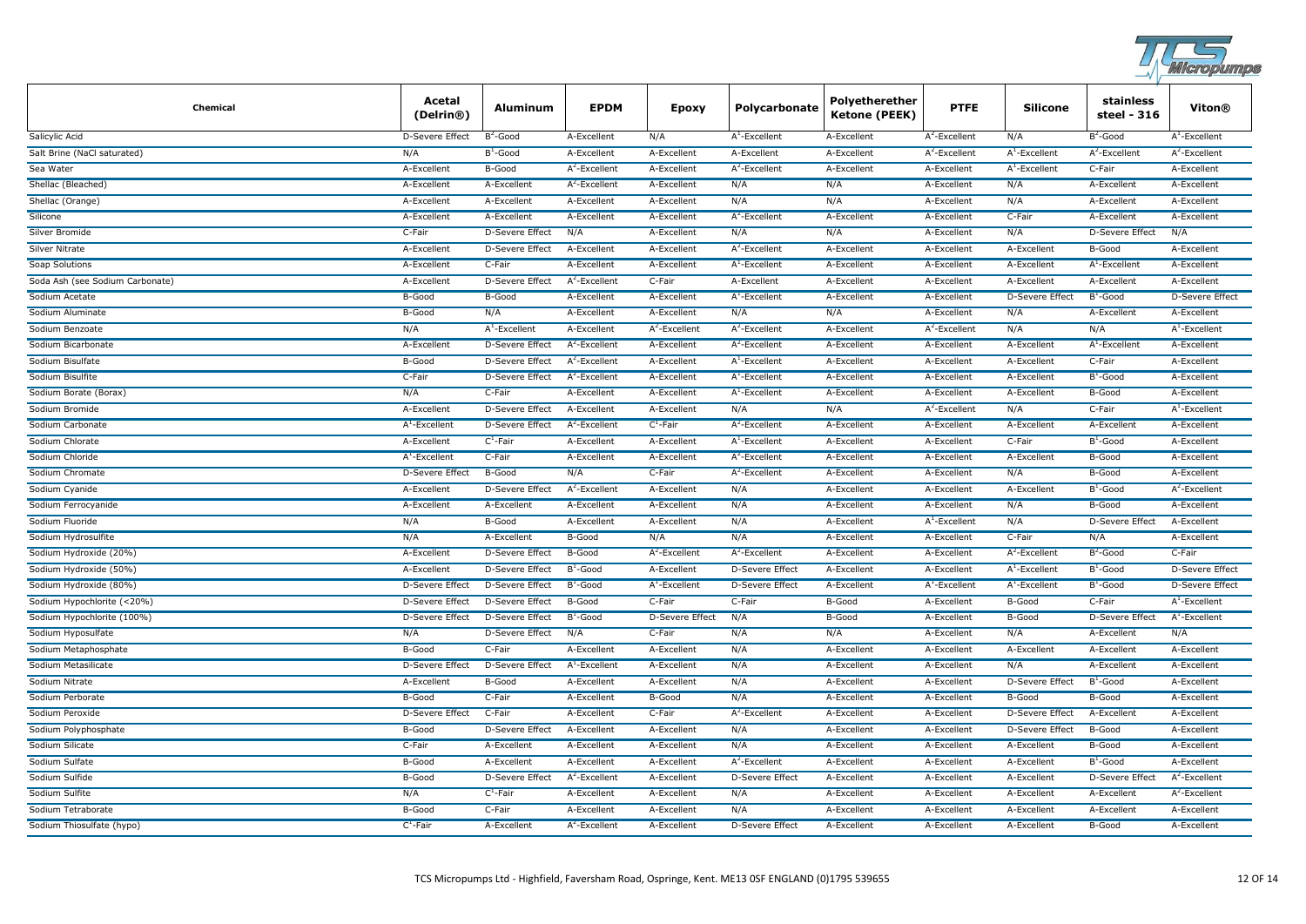

| <b>Chemical</b>                 | Acetal<br>(Delrin®)    | Aluminum               | <b>EPDM</b>      | Epoxy            | Polycarbonate          | Polyetherether<br>Ketone (PEEK) | <b>PTFE</b>      | <b>Silicone</b>        | stainless<br>steel - 316 | Viton®                 |
|---------------------------------|------------------------|------------------------|------------------|------------------|------------------------|---------------------------------|------------------|------------------------|--------------------------|------------------------|
| Salicylic Acid                  | D-Severe Effect        | $B^2$ -Good            | A-Excellent      | N/A              | $A^1$ -Excellent       | A-Excellent                     | $A^2$ -Excellent | N/A                    | $B^2$ -Good              | $A^1$ -Excellent       |
| Salt Brine (NaCl saturated)     | N/A                    | $B^1$ -Good            | A-Excellent      | A-Excellent      | A-Excellent            | A-Excellent                     | $A^2$ -Excellent | $A^1$ -Excellent       | $A^2$ -Excellent         | $A^2$ -Excellent       |
| Sea Water                       | A-Excellent            | B-Good                 | $A^2$ -Excellent | A-Excellent      | $A^2$ -Excellent       | A-Excellent                     | A-Excellent      | $A^1$ -Excellent       | C-Fair                   | A-Excellent            |
| Shellac (Bleached)              | A-Excellent            | A-Excellent            | $A^2$ -Excellent | A-Excellent      | N/A                    | N/A                             | A-Excellent      | N/A                    | A-Excellent              | A-Excellent            |
| Shellac (Orange)                | A-Excellent            | A-Excellent            | A-Excellent      | A-Excellent      | N/A                    | N/A                             | A-Excellent      | N/A                    | A-Excellent              | A-Excellent            |
| Silicone                        | A-Excellent            | A-Excellent            | A-Excellent      | A-Excellent      | $A^2$ -Excellent       | A-Excellent                     | A-Excellent      | C-Fair                 | A-Excellent              | A-Excellent            |
| Silver Bromide                  | C-Fair                 | <b>D-Severe Effect</b> | N/A              | A-Excellent      | N/A                    | N/A                             | A-Excellent      | N/A                    | D-Severe Effect          | N/A                    |
| <b>Silver Nitrate</b>           | A-Excellent            | <b>D-Severe Effect</b> | A-Excellent      | A-Excellent      | $A^2$ -Excellent       | A-Excellent                     | A-Excellent      | A-Excellent            | B-Good                   | A-Excellent            |
| Soap Solutions                  | A-Excellent            | C-Fair                 | A-Excellent      | A-Excellent      | $A^1$ -Excellent       | A-Excellent                     | A-Excellent      | A-Excellent            | $A^1$ -Excellent         | A-Excellent            |
| Soda Ash (see Sodium Carbonate) | A-Excellent            | <b>D-Severe Effect</b> | $A^2$ -Excellent | C-Fair           | A-Excellent            | A-Excellent                     | A-Excellent      | A-Excellent            | A-Excellent              | A-Excellent            |
| Sodium Acetate                  | B-Good                 | B-Good                 | A-Excellent      | A-Excellent      | $A^1$ -Excellent       | A-Excellent                     | A-Excellent      | <b>D-Severe Effect</b> | $B^1$ -Good              | D-Severe Effect        |
| Sodium Aluminate                | B-Good                 | N/A                    | A-Excellent      | A-Excellent      | N/A                    | N/A                             | A-Excellent      | N/A                    | A-Excellent              | A-Excellent            |
| Sodium Benzoate                 | N/A                    | $A^1$ -Excellent       | A-Excellent      | $A^2$ -Excellent | $A^2$ -Excellent       | A-Excellent                     | $A^2$ -Excellent | N/A                    | N/A                      | $A^1$ -Excellent       |
| Sodium Bicarbonate              | A-Excellent            | D-Severe Effect        | $A^2$ -Excellent | A-Excellent      | $A^2$ -Excellent       | A-Excellent                     | A-Excellent      | A-Excellent            | $A^1$ -Excellent         | A-Excellent            |
| Sodium Bisulfate                | B-Good                 | D-Severe Effect        | $A^2$ -Excellent | A-Excellent      | $A^1$ -Excellent       | A-Excellent                     | A-Excellent      | A-Excellent            | C-Fair                   | A-Excellent            |
| Sodium Bisulfite                | C-Fair                 | <b>D-Severe Effect</b> | $A^2$ -Excellent | A-Excellent      | $A^1$ -Excellent       | A-Excellent                     | A-Excellent      | A-Excellent            | $B^1$ -Good              | A-Excellent            |
| Sodium Borate (Borax)           | N/A                    | C-Fair                 | A-Excellent      | A-Excellent      | $A^1$ -Excellent       | A-Excellent                     | A-Excellent      | A-Excellent            | <b>B-Good</b>            | A-Excellent            |
| Sodium Bromide                  | A-Excellent            | D-Severe Effect        | A-Excellent      | A-Excellent      | N/A                    | N/A                             | $A^2$ -Excellent | N/A                    | C-Fair                   | $A^1$ -Excellent       |
| Sodium Carbonate                | $A^1$ -Excellent       | <b>D-Severe Effect</b> | $A^2$ -Excellent | $C^1$ -Fair      | $A^2$ -Excellent       | A-Excellent                     | A-Excellent      | A-Excellent            | A-Excellent              | A-Excellent            |
| Sodium Chlorate                 | A-Excellent            | $C^1$ -Fair            | A-Excellent      | A-Excellent      | $A^1$ -Excellent       | A-Excellent                     | A-Excellent      | C-Fair                 | $B^1$ -Good              | A-Excellent            |
| Sodium Chloride                 | $A^1$ -Excellent       | C-Fair                 | A-Excellent      | A-Excellent      | $A^2$ -Excellent       | A-Excellent                     | A-Excellent      | A-Excellent            | <b>B-Good</b>            | A-Excellent            |
| Sodium Chromate                 | <b>D-Severe Effect</b> | B-Good                 | N/A              | C-Fair           | $A^2$ -Excellent       | A-Excellent                     | A-Excellent      | N/A                    | <b>B-Good</b>            | A-Excellent            |
| Sodium Cyanide                  | A-Excellent            | <b>D-Severe Effect</b> | $A^2$ -Excellent | A-Excellent      | N/A                    | A-Excellent                     | A-Excellent      | A-Excellent            | $B^1$ -Good              | $A^2$ -Excellent       |
| Sodium Ferrocyanide             | A-Excellent            | A-Excellent            | A-Excellent      | A-Excellent      | N/A                    | A-Excellent                     | A-Excellent      | N/A                    | B-Good                   | A-Excellent            |
| Sodium Fluoride                 | N/A                    | B-Good                 | A-Excellent      | A-Excellent      | N/A                    | A-Excellent                     | $A^1$ -Excellent | N/A                    | D-Severe Effect          | A-Excellent            |
| Sodium Hydrosulfite             | N/A                    | A-Excellent            | B-Good           | N/A              | N/A                    | A-Excellent                     | A-Excellent      | C-Fair                 | N/A                      | A-Excellent            |
| Sodium Hydroxide (20%)          | A-Excellent            | <b>D-Severe Effect</b> | B-Good           | $A^2$ -Excellent | $A^2$ -Excellent       | A-Excellent                     | A-Excellent      | $A^2$ -Excellent       | $B^2$ -Good              | C-Fair                 |
| Sodium Hydroxide (50%)          | A-Excellent            | <b>D-Severe Effect</b> | $B^1$ -Good      | A-Excellent      | D-Severe Effect        | A-Excellent                     | A-Excellent      | $A^1$ -Excellent       | $B^1$ -Good              | <b>D-Severe Effect</b> |
| Sodium Hydroxide (80%)          | D-Severe Effect        | <b>D-Severe Effect</b> | $B^1$ -Good      | $A^1$ -Excellent | D-Severe Effect        | A-Excellent                     | $A^1$ -Excellent | $A^1$ -Excellent       | $B^1$ -Good              | D-Severe Effect        |
| Sodium Hypochlorite (<20%)      | <b>D-Severe Effect</b> | <b>D-Severe Effect</b> | B-Good           | C-Fair           | C-Fair                 | B-Good                          | A-Excellent      | B-Good                 | C-Fair                   | $A^1$ -Excellent       |
| Sodium Hypochlorite (100%)      | D-Severe Effect        | D-Severe Effect        | $B^1$ -Good      | D-Severe Effect  | N/A                    | B-Good                          | A-Excellent      | B-Good                 | D-Severe Effect          | $A^1$ -Excellent       |
| Sodium Hyposulfate              | N/A                    | <b>D-Severe Effect</b> | N/A              | C-Fair           | N/A                    | N/A                             | A-Excellent      | N/A                    | A-Excellent              | N/A                    |
| Sodium Metaphosphate            | B-Good                 | C-Fair                 | A-Excellent      | A-Excellent      | N/A                    | A-Excellent                     | A-Excellent      | A-Excellent            | A-Excellent              | A-Excellent            |
| Sodium Metasilicate             | <b>D-Severe Effect</b> | <b>D-Severe Effect</b> | $A^1$ -Excellent | A-Excellent      | N/A                    | A-Excellent                     | A-Excellent      | N/A                    | A-Excellent              | A-Excellent            |
| Sodium Nitrate                  | A-Excellent            | B-Good                 | A-Excellent      | A-Excellent      | N/A                    | A-Excellent                     | A-Excellent      | <b>D-Severe Effect</b> | $B^1$ -Good              | A-Excellent            |
| Sodium Perborate                | B-Good                 | C-Fair                 | A-Excellent      | B-Good           | N/A                    | A-Excellent                     | A-Excellent      | B-Good                 | B-Good                   | A-Excellent            |
| Sodium Peroxide                 | D-Severe Effect        | C-Fair                 | A-Excellent      | C-Fair           | $A^2$ -Excellent       | A-Excellent                     | A-Excellent      | D-Severe Effect        | A-Excellent              | A-Excellent            |
| Sodium Polyphosphate            | B-Good                 | <b>D-Severe Effect</b> | A-Excellent      | A-Excellent      | N/A                    | A-Excellent                     | A-Excellent      | <b>D-Severe Effect</b> | B-Good                   | A-Excellent            |
| Sodium Silicate                 | C-Fair                 | A-Excellent            | A-Excellent      | A-Excellent      | N/A                    | A-Excellent                     | A-Excellent      | A-Excellent            | B-Good                   | A-Excellent            |
| Sodium Sulfate                  | B-Good                 | A-Excellent            | A-Excellent      | A-Excellent      | $A^2$ -Excellent       | A-Excellent                     | A-Excellent      | A-Excellent            | $B^1$ -Good              | A-Excellent            |
| Sodium Sulfide                  | B-Good                 | <b>D-Severe Effect</b> | $A^2$ -Excellent | A-Excellent      | <b>D-Severe Effect</b> | A-Excellent                     | A-Excellent      | A-Excellent            | D-Severe Effect          | $A^2$ -Excellent       |
| Sodium Sulfite                  | N/A                    | $C^1$ -Fair            | A-Excellent      | A-Excellent      | N/A                    | A-Excellent                     | A-Excellent      | A-Excellent            | A-Excellent              | $A^2$ -Excellent       |
| Sodium Tetraborate              | B-Good                 | C-Fair                 | A-Excellent      | A-Excellent      | N/A                    | A-Excellent                     | A-Excellent      | A-Excellent            | A-Excellent              | A-Excellent            |
| Sodium Thiosulfate (hypo)       | $C^1$ -Fair            | A-Excellent            | $A^2$ -Excellent | A-Excellent      | <b>D-Severe Effect</b> | A-Excellent                     | A-Excellent      | A-Excellent            | B-Good                   | A-Excellent            |
|                                 |                        |                        |                  |                  |                        |                                 |                  |                        |                          |                        |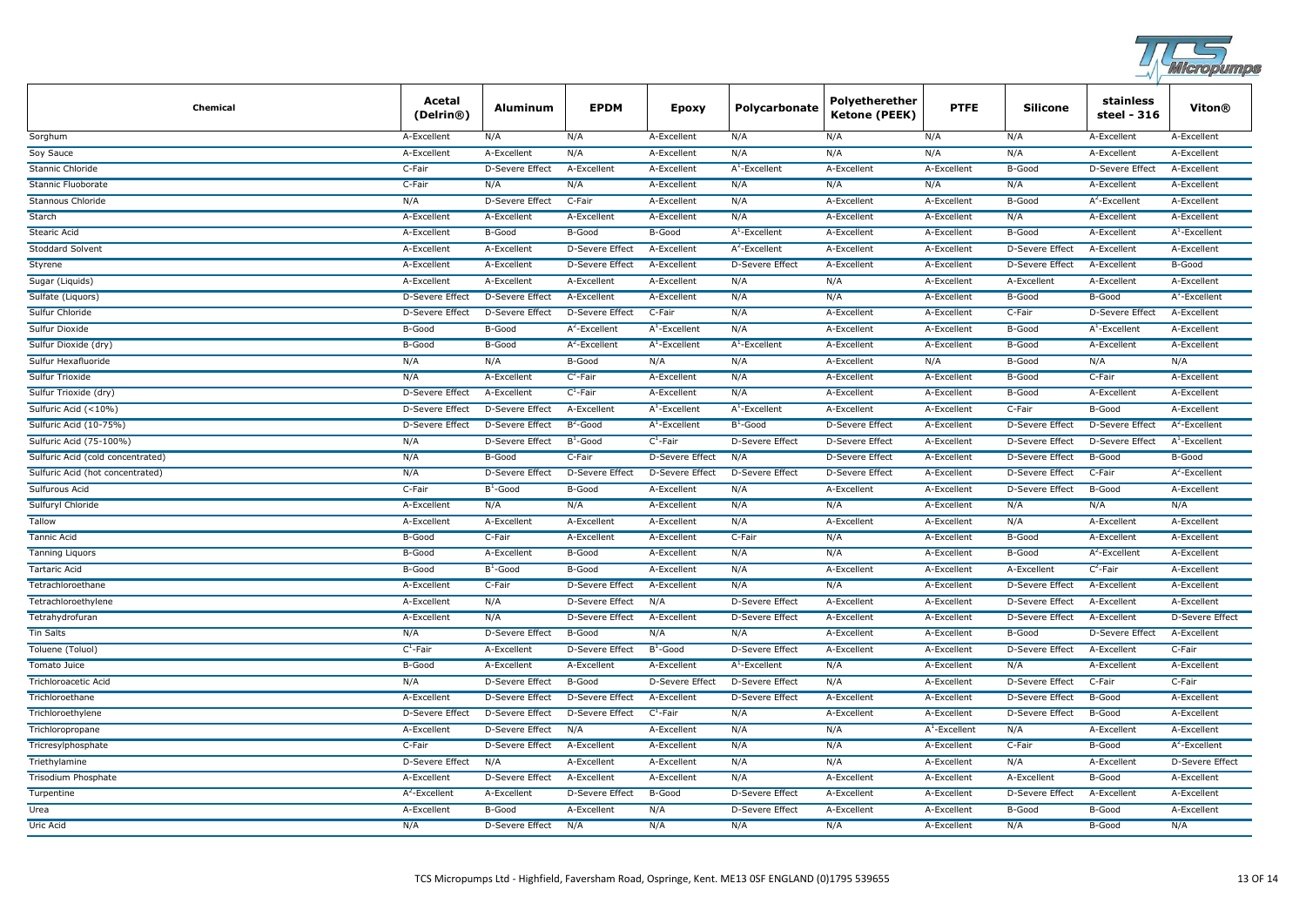

| <b>Chemical</b>                   | Acetal<br>(Delrin®)    | <b>Aluminum</b>        | <b>EPDM</b>            | <b>Epoxy</b>           | Polycarbonate          | Polyetherether<br>Ketone (PEEK) | <b>PTFE</b>      | <b>Silicone</b>        | stainless<br>steel - 316 | Viton®                 |
|-----------------------------------|------------------------|------------------------|------------------------|------------------------|------------------------|---------------------------------|------------------|------------------------|--------------------------|------------------------|
| Sorghum                           | A-Excellent            | N/A                    | N/A                    | A-Excellent            | N/A                    | N/A                             | N/A              | N/A                    | A-Excellent              | A-Excellent            |
| Soy Sauce                         | A-Excellent            | A-Excellent            | N/A                    | A-Excellent            | N/A                    | N/A                             | N/A              | N/A                    | A-Excellent              | A-Excellent            |
| Stannic Chloride                  | C-Fair                 | D-Severe Effect        | A-Excellent            | A-Excellent            | $A^1$ -Excellent       | A-Excellent                     | A-Excellent      | B-Good                 | <b>D-Severe Effect</b>   | A-Excellent            |
| Stannic Fluoborate                | C-Fair                 | N/A                    | N/A                    | A-Excellent            | N/A                    | N/A                             | N/A              | N/A                    | A-Excellent              | A-Excellent            |
| Stannous Chloride                 | N/A                    | D-Severe Effect        | C-Fair                 | A-Excellent            | N/A                    | A-Excellent                     | A-Excellent      | B-Good                 | $A^2$ -Excellent         | A-Excellent            |
| Starch                            | A-Excellent            | A-Excellent            | A-Excellent            | A-Excellent            | N/A                    | A-Excellent                     | A-Excellent      | N/A                    | A-Excellent              | A-Excellent            |
| Stearic Acid                      | A-Excellent            | B-Good                 | B-Good                 | B-Good                 | $A^1$ -Excellent       | A-Excellent                     | A-Excellent      | B-Good                 | A-Excellent              | $A^1$ -Excellent       |
| <b>Stoddard Solvent</b>           | A-Excellent            | A-Excellent            | <b>D-Severe Effect</b> | A-Excellent            | $A^2$ -Excellent       | A-Excellent                     | A-Excellent      | <b>D-Severe Effect</b> | A-Excellent              | A-Excellent            |
| Styrene                           | A-Excellent            | A-Excellent            | D-Severe Effect        | A-Excellent            | D-Severe Effect        | A-Excellent                     | A-Excellent      | <b>D-Severe Effect</b> | A-Excellent              | <b>B-Good</b>          |
| Sugar (Liquids)                   | A-Excellent            | A-Excellent            | A-Excellent            | A-Excellent            | N/A                    | N/A                             | A-Excellent      | A-Excellent            | A-Excellent              | A-Excellent            |
| Sulfate (Liquors)                 | D-Severe Effect        | <b>D-Severe Effect</b> | A-Excellent            | A-Excellent            | N/A                    | N/A                             | A-Excellent      | B-Good                 | B-Good                   | $A^1$ -Excellent       |
| <b>Sulfur Chloride</b>            | D-Severe Effect        | D-Severe Effect        | D-Severe Effect        | C-Fair                 | N/A                    | A-Excellent                     | A-Excellent      | C-Fair                 | <b>D-Severe Effect</b>   | A-Excellent            |
| Sulfur Dioxide                    | B-Good                 | B-Good                 | $A^2$ -Excellent       | $A^1$ -Excellent       | N/A                    | A-Excellent                     | A-Excellent      | B-Good                 | $A^1$ -Excellent         | A-Excellent            |
| Sulfur Dioxide (dry)              | B-Good                 | B-Good                 | $A^2$ -Excellent       | $A^1$ -Excellent       | $A^1$ -Excellent       | A-Excellent                     | A-Excellent      | B-Good                 | A-Excellent              | A-Excellent            |
| Sulfur Hexafluoride               | N/A                    | N/A                    | B-Good                 | N/A                    | N/A                    | A-Excellent                     | N/A              | B-Good                 | N/A                      | N/A                    |
| Sulfur Trioxide                   | N/A                    | A-Excellent            | $C^2$ -Fair            | A-Excellent            | N/A                    | A-Excellent                     | A-Excellent      | B-Good                 | C-Fair                   | A-Excellent            |
| Sulfur Trioxide (dry)             | <b>D-Severe Effect</b> | A-Excellent            | $C^1$ -Fair            | A-Excellent            | N/A                    | A-Excellent                     | A-Excellent      | B-Good                 | A-Excellent              | A-Excellent            |
| Sulfuric Acid (<10%)              | D-Severe Effect        | D-Severe Effect        | A-Excellent            | $A^1$ -Excellent       | $AT$ -Excellent        | A-Excellent                     | A-Excellent      | C-Fair                 | B-Good                   | A-Excellent            |
| Sulfuric Acid (10-75%)            | D-Severe Effect        | D-Severe Effect        | $B^2$ -Good            | $A^1$ -Excellent       | $B^1$ -Good            | D-Severe Effect                 | A-Excellent      | D-Severe Effect        | D-Severe Effect          | $A^2$ -Excellent       |
| Sulfuric Acid (75-100%)           | N/A                    | <b>D-Severe Effect</b> | $B^1$ -Good            | $C^1$ -Fair            | <b>D-Severe Effect</b> | <b>D-Severe Effect</b>          | A-Excellent      | D-Severe Effect        | <b>D-Severe Effect</b>   | $A^1$ -Excellent       |
| Sulfuric Acid (cold concentrated) | N/A                    | B-Good                 | C-Fair                 | <b>D-Severe Effect</b> | N/A                    | <b>D-Severe Effect</b>          | A-Excellent      | <b>D-Severe Effect</b> | B-Good                   | B-Good                 |
| Sulfuric Acid (hot concentrated)  | N/A                    | <b>D-Severe Effect</b> | <b>D-Severe Effect</b> | D-Severe Effect        | <b>D-Severe Effect</b> | <b>D-Severe Effect</b>          | A-Excellent      | <b>D-Severe Effect</b> | C-Fair                   | $A^2$ -Excellent       |
| Sulfurous Acid                    | C-Fair                 | $B^1$ -Good            | B-Good                 | A-Excellent            | N/A                    | A-Excellent                     | A-Excellent      | <b>D-Severe Effect</b> | B-Good                   | A-Excellent            |
| Sulfuryl Chloride                 | A-Excellent            | N/A                    | N/A                    | A-Excellent            | N/A                    | N/A                             | A-Excellent      | N/A                    | N/A                      | N/A                    |
| Tallow                            | A-Excellent            | A-Excellent            | A-Excellent            | A-Excellent            | N/A                    | A-Excellent                     | A-Excellent      | N/A                    | A-Excellent              | A-Excellent            |
| <b>Tannic Acid</b>                | B-Good                 | C-Fair                 | A-Excellent            | A-Excellent            | C-Fair                 | N/A                             | A-Excellent      | B-Good                 | A-Excellent              | A-Excellent            |
| <b>Tanning Liguors</b>            | B-Good                 | A-Excellent            | B-Good                 | A-Excellent            | N/A                    | N/A                             | A-Excellent      | B-Good                 | $A^2$ -Excellent         | A-Excellent            |
| <b>Tartaric Acid</b>              | B-Good                 | $B^1$ -Good            | B-Good                 | A-Excellent            | N/A                    | A-Excellent                     | A-Excellent      | A-Excellent            | $C^2$ -Fair              | A-Excellent            |
| Tetrachloroethane                 | A-Excellent            | C-Fair                 | D-Severe Effect        | A-Excellent            | N/A                    | N/A                             | A-Excellent      | D-Severe Effect        | A-Excellent              | A-Excellent            |
| Tetrachloroethylene               | A-Excellent            | N/A                    | D-Severe Effect        | N/A                    | D-Severe Effect        | A-Excellent                     | A-Excellent      | D-Severe Effect        | A-Excellent              | A-Excellent            |
| Tetrahydrofuran                   | A-Excellent            | N/A                    | D-Severe Effect        | A-Excellent            | D-Severe Effect        | A-Excellent                     | A-Excellent      | <b>D-Severe Effect</b> | A-Excellent              | D-Severe Effect        |
| <b>Tin Salts</b>                  | N/A                    | <b>D-Severe Effect</b> | B-Good                 | N/A                    | N/A                    | A-Excellent                     | A-Excellent      | B-Good                 | D-Severe Effect          | A-Excellent            |
| Toluene (Toluol)                  | $C^1$ -Fair            | A-Excellent            | <b>D-Severe Effect</b> | $B^1$ -Good            | <b>D-Severe Effect</b> | A-Excellent                     | A-Excellent      | <b>D-Severe Effect</b> | A-Excellent              | C-Fair                 |
| <b>Tomato Juice</b>               | B-Good                 | A-Excellent            | A-Excellent            | A-Excellent            | $A^1$ -Excellent       | N/A                             | A-Excellent      | N/A                    | A-Excellent              | A-Excellent            |
| <b>Trichloroacetic Acid</b>       | N/A                    | D-Severe Effect        | B-Good                 | <b>D-Severe Effect</b> | D-Severe Effect        | N/A                             | A-Excellent      | D-Severe Effect        | C-Fair                   | C-Fair                 |
| Trichloroethane                   | A-Excellent            | <b>D-Severe Effect</b> | <b>D-Severe Effect</b> | A-Excellent            | <b>D-Severe Effect</b> | A-Excellent                     | A-Excellent      | <b>D-Severe Effect</b> | B-Good                   | A-Excellent            |
| Trichloroethylene                 | <b>D-Severe Effect</b> | <b>D-Severe Effect</b> | <b>D-Severe Effect</b> | $C^1$ -Fair            | N/A                    | A-Excellent                     | A-Excellent      | <b>D-Severe Effect</b> | B-Good                   | A-Excellent            |
| Trichloropropane                  | A-Excellent            | D-Severe Effect        | N/A                    | A-Excellent            | N/A                    | N/A                             | $A^1$ -Excellent | N/A                    | A-Excellent              | A-Excellent            |
| Tricresylphosphate                | C-Fair                 | D-Severe Effect        | A-Excellent            | A-Excellent            | N/A                    | N/A                             | A-Excellent      | C-Fair                 | B-Good                   | $A^2$ -Excellent       |
| Triethylamine                     | D-Severe Effect        | N/A                    | A-Excellent            | A-Excellent            | N/A                    | N/A                             | A-Excellent      | N/A                    | A-Excellent              | <b>D-Severe Effect</b> |
| Trisodium Phosphate               | A-Excellent            | D-Severe Effect        | A-Excellent            | A-Excellent            | N/A                    | A-Excellent                     | A-Excellent      | A-Excellent            | B-Good                   | A-Excellent            |
| Turpentine                        | $A^2$ -Excellent       | A-Excellent            | D-Severe Effect        | B-Good                 | D-Severe Effect        | A-Excellent                     | A-Excellent      | <b>D-Severe Effect</b> | A-Excellent              | A-Excellent            |
| Urea                              | A-Excellent            | B-Good                 | A-Excellent            | N/A                    | D-Severe Effect        | A-Excellent                     | A-Excellent      | B-Good                 | B-Good                   | A-Excellent            |
| <b>Uric Acid</b>                  | N/A                    | <b>D-Severe Effect</b> | N/A                    | N/A                    | N/A                    | N/A                             | A-Excellent      | N/A                    | B-Good                   | N/A                    |
|                                   |                        |                        |                        |                        |                        |                                 |                  |                        |                          |                        |